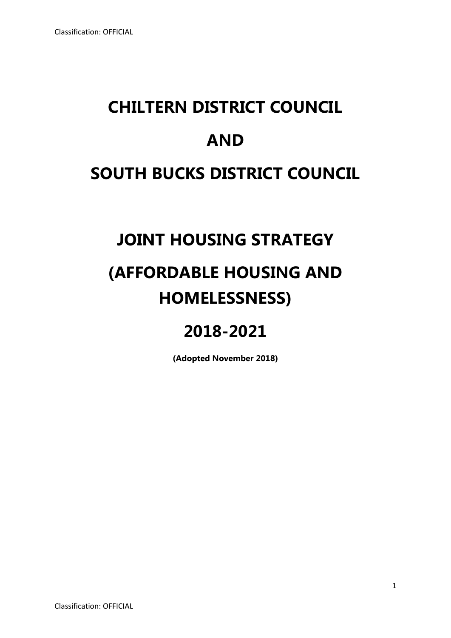# **CHILTERN DISTRICT COUNCIL AND SOUTH BUCKS DISTRICT COUNCIL**

## **JOINT HOUSING STRATEGY (AFFORDABLE HOUSING AND HOMELESSNESS)**

### **2018-2021**

**(Adopted November 2018)**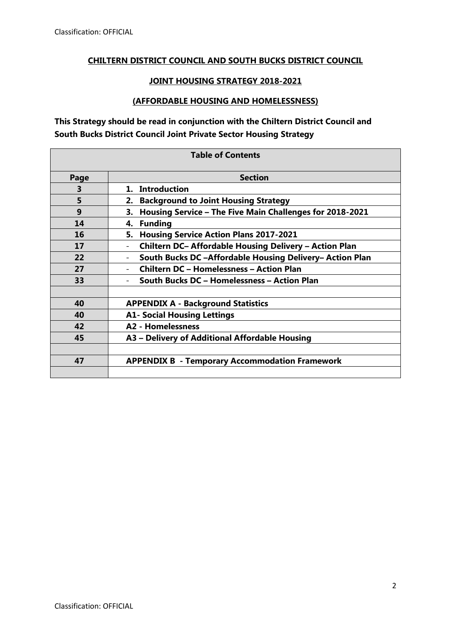#### **CHILTERN DISTRICT COUNCIL AND SOUTH BUCKS DISTRICT COUNCIL**

#### **JOINT HOUSING STRATEGY 2018-2021**

#### **(AFFORDABLE HOUSING AND HOMELESSNESS)**

**This Strategy should be read in conjunction with the Chiltern District Council and South Bucks District Council Joint Private Sector Housing Strategy**

| <b>Table of Contents</b> |                                                                |  |
|--------------------------|----------------------------------------------------------------|--|
| Page                     | <b>Section</b>                                                 |  |
| 3                        | 1. Introduction                                                |  |
| 5                        | 2. Background to Joint Housing Strategy                        |  |
| 9                        | Housing Service - The Five Main Challenges for 2018-2021<br>3. |  |
| 14                       | 4. Funding                                                     |  |
| 16                       | 5. Housing Service Action Plans 2017-2021                      |  |
| 17                       | <b>Chiltern DC- Affordable Housing Delivery - Action Plan</b>  |  |
| 22                       | South Bucks DC-Affordable Housing Delivery-Action Plan         |  |
| 27                       | <b>Chiltern DC - Homelessness - Action Plan</b>                |  |
| 33                       | South Bucks DC - Homelessness - Action Plan                    |  |
|                          |                                                                |  |
| 40                       | <b>APPENDIX A - Background Statistics</b>                      |  |
| 40                       | <b>A1- Social Housing Lettings</b>                             |  |
| 42                       | <b>A2 - Homelessness</b>                                       |  |
| 45                       | A3 - Delivery of Additional Affordable Housing                 |  |
|                          |                                                                |  |
| 47                       | <b>APPENDIX B - Temporary Accommodation Framework</b>          |  |
|                          |                                                                |  |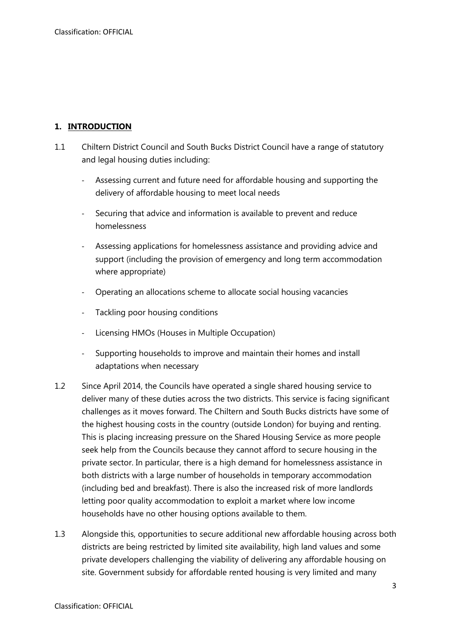#### **1. INTRODUCTION**

- 1.1 Chiltern District Council and South Bucks District Council have a range of statutory and legal housing duties including:
	- Assessing current and future need for affordable housing and supporting the delivery of affordable housing to meet local needs
	- Securing that advice and information is available to prevent and reduce homelessness
	- Assessing applications for homelessness assistance and providing advice and support (including the provision of emergency and long term accommodation where appropriate)
	- Operating an allocations scheme to allocate social housing vacancies
	- Tackling poor housing conditions
	- Licensing HMOs (Houses in Multiple Occupation)
	- Supporting households to improve and maintain their homes and install adaptations when necessary
- 1.2 Since April 2014, the Councils have operated a single shared housing service to deliver many of these duties across the two districts. This service is facing significant challenges as it moves forward. The Chiltern and South Bucks districts have some of the highest housing costs in the country (outside London) for buying and renting. This is placing increasing pressure on the Shared Housing Service as more people seek help from the Councils because they cannot afford to secure housing in the private sector. In particular, there is a high demand for homelessness assistance in both districts with a large number of households in temporary accommodation (including bed and breakfast). There is also the increased risk of more landlords letting poor quality accommodation to exploit a market where low income households have no other housing options available to them.
- 1.3 Alongside this, opportunities to secure additional new affordable housing across both districts are being restricted by limited site availability, high land values and some private developers challenging the viability of delivering any affordable housing on site. Government subsidy for affordable rented housing is very limited and many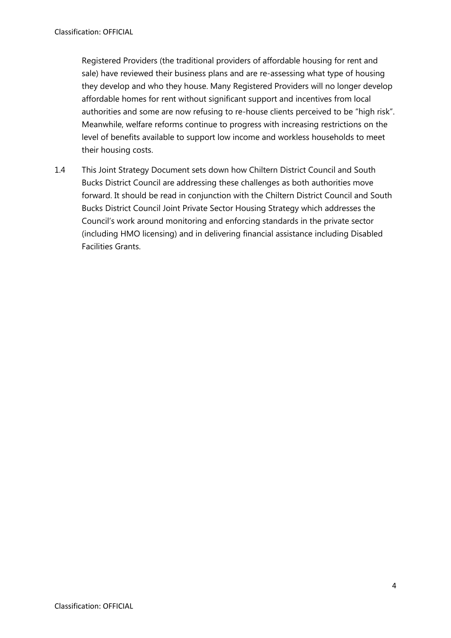Registered Providers (the traditional providers of affordable housing for rent and sale) have reviewed their business plans and are re-assessing what type of housing they develop and who they house. Many Registered Providers will no longer develop affordable homes for rent without significant support and incentives from local authorities and some are now refusing to re-house clients perceived to be "high risk". Meanwhile, welfare reforms continue to progress with increasing restrictions on the level of benefits available to support low income and workless households to meet their housing costs.

1.4 This Joint Strategy Document sets down how Chiltern District Council and South Bucks District Council are addressing these challenges as both authorities move forward. It should be read in conjunction with the Chiltern District Council and South Bucks District Council Joint Private Sector Housing Strategy which addresses the Council's work around monitoring and enforcing standards in the private sector (including HMO licensing) and in delivering financial assistance including Disabled Facilities Grants.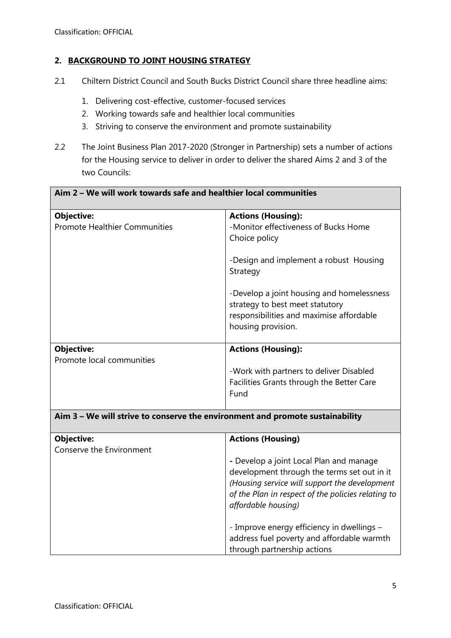#### **2. BACKGROUND TO JOINT HOUSING STRATEGY**

- 2.1 Chiltern District Council and South Bucks District Council share three headline aims:
	- 1. Delivering cost-effective, customer-focused services
	- 2. Working towards safe and healthier local communities
	- 3. Striving to conserve the environment and promote sustainability
- 2.2 The Joint Business Plan 2017-2020 (Stronger in Partnership) sets a number of actions for the Housing service to deliver in order to deliver the shared Aims 2 and 3 of the two Councils:

| Aim 2 – We will work towards safe and healthier local communities             |                                                                                                                                                                                                                                                                                                |  |  |
|-------------------------------------------------------------------------------|------------------------------------------------------------------------------------------------------------------------------------------------------------------------------------------------------------------------------------------------------------------------------------------------|--|--|
| <b>Objective:</b><br><b>Promote Healthier Communities</b>                     | <b>Actions (Housing):</b><br>-Monitor effectiveness of Bucks Home<br>Choice policy<br>-Design and implement a robust Housing<br>Strategy<br>-Develop a joint housing and homelessness<br>strategy to best meet statutory<br>responsibilities and maximise affordable<br>housing provision.     |  |  |
| <b>Objective:</b><br>Promote local communities                                | <b>Actions (Housing):</b><br>-Work with partners to deliver Disabled<br>Facilities Grants through the Better Care<br>Fund                                                                                                                                                                      |  |  |
| Aim 3 - We will strive to conserve the environment and promote sustainability |                                                                                                                                                                                                                                                                                                |  |  |
| <b>Objective:</b><br>Conserve the Environment                                 | <b>Actions (Housing)</b><br>- Develop a joint Local Plan and manage<br>development through the terms set out in it<br>(Housing service will support the development<br>of the Plan in respect of the policies relating to<br>affordable housing)<br>- Improve energy efficiency in dwellings - |  |  |

#### Classification: OFFICIAL

address fuel poverty and affordable warmth

through partnership actions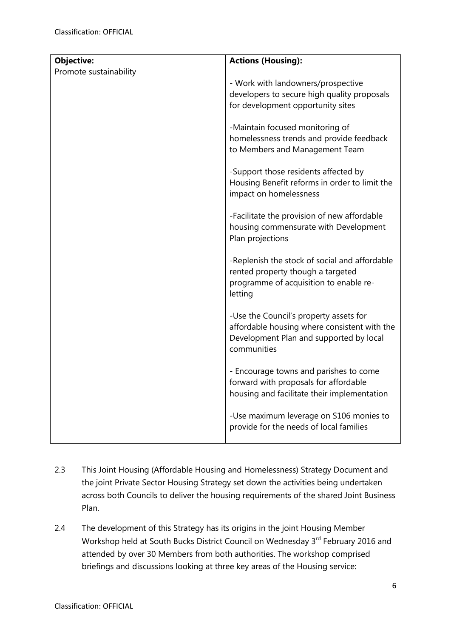| <b>Objective:</b>      | <b>Actions (Housing):</b>                     |
|------------------------|-----------------------------------------------|
| Promote sustainability |                                               |
|                        | - Work with landowners/prospective            |
|                        | developers to secure high quality proposals   |
|                        | for development opportunity sites             |
|                        |                                               |
|                        | -Maintain focused monitoring of               |
|                        | homelessness trends and provide feedback      |
|                        |                                               |
|                        | to Members and Management Team                |
|                        |                                               |
|                        | -Support those residents affected by          |
|                        | Housing Benefit reforms in order to limit the |
|                        | impact on homelessness                        |
|                        |                                               |
|                        | -Facilitate the provision of new affordable   |
|                        | housing commensurate with Development         |
|                        | Plan projections                              |
|                        |                                               |
|                        | -Replenish the stock of social and affordable |
|                        | rented property though a targeted             |
|                        | programme of acquisition to enable re-        |
|                        | letting                                       |
|                        |                                               |
|                        | -Use the Council's property assets for        |
|                        | affordable housing where consistent with the  |
|                        | Development Plan and supported by local       |
|                        | communities                                   |
|                        |                                               |
|                        | - Encourage towns and parishes to come        |
|                        | forward with proposals for affordable         |
|                        | housing and facilitate their implementation   |
|                        |                                               |
|                        |                                               |
|                        | -Use maximum leverage on S106 monies to       |
|                        | provide for the needs of local families       |
|                        |                                               |

- 2.3 This Joint Housing (Affordable Housing and Homelessness) Strategy Document and the joint Private Sector Housing Strategy set down the activities being undertaken across both Councils to deliver the housing requirements of the shared Joint Business Plan.
- 2.4 The development of this Strategy has its origins in the joint Housing Member Workshop held at South Bucks District Council on Wednesday 3rd February 2016 and attended by over 30 Members from both authorities. The workshop comprised briefings and discussions looking at three key areas of the Housing service: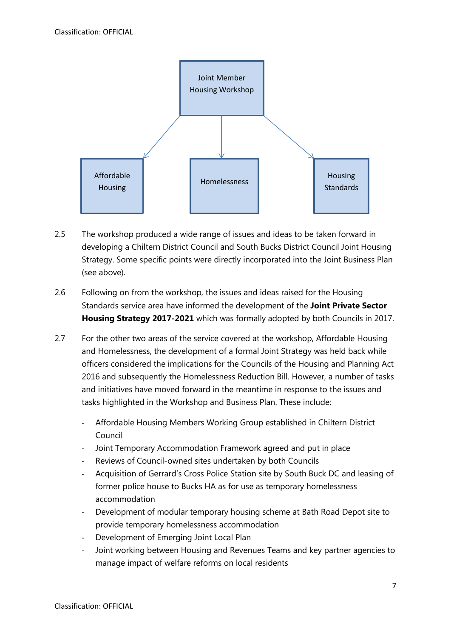

- 2.5 The workshop produced a wide range of issues and ideas to be taken forward in developing a Chiltern District Council and South Bucks District Council Joint Housing Strategy. Some specific points were directly incorporated into the Joint Business Plan (see above).
- 2.6 Following on from the workshop, the issues and ideas raised for the Housing Standards service area have informed the development of the **Joint Private Sector Housing Strategy 2017-2021** which was formally adopted by both Councils in 2017.
- 2.7 For the other two areas of the service covered at the workshop, Affordable Housing and Homelessness, the development of a formal Joint Strategy was held back while officers considered the implications for the Councils of the Housing and Planning Act 2016 and subsequently the Homelessness Reduction Bill. However, a number of tasks and initiatives have moved forward in the meantime in response to the issues and tasks highlighted in the Workshop and Business Plan. These include:
	- Affordable Housing Members Working Group established in Chiltern District Council
	- Joint Temporary Accommodation Framework agreed and put in place
	- Reviews of Council-owned sites undertaken by both Councils
	- Acquisition of Gerrard's Cross Police Station site by South Buck DC and leasing of former police house to Bucks HA as for use as temporary homelessness accommodation
	- Development of modular temporary housing scheme at Bath Road Depot site to provide temporary homelessness accommodation
	- Development of Emerging Joint Local Plan
	- Joint working between Housing and Revenues Teams and key partner agencies to manage impact of welfare reforms on local residents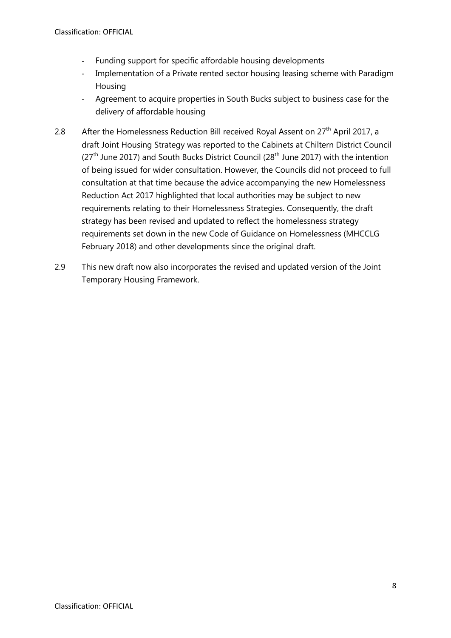- Funding support for specific affordable housing developments
- Implementation of a Private rented sector housing leasing scheme with Paradigm Housing
- Agreement to acquire properties in South Bucks subject to business case for the delivery of affordable housing
- 2.8 After the Homelessness Reduction Bill received Royal Assent on 27<sup>th</sup> April 2017, a draft Joint Housing Strategy was reported to the Cabinets at Chiltern District Council ( $27<sup>th</sup>$  June 2017) and South Bucks District Council ( $28<sup>th</sup>$  June 2017) with the intention of being issued for wider consultation. However, the Councils did not proceed to full consultation at that time because the advice accompanying the new Homelessness Reduction Act 2017 highlighted that local authorities may be subject to new requirements relating to their Homelessness Strategies. Consequently, the draft strategy has been revised and updated to reflect the homelessness strategy requirements set down in the new Code of Guidance on Homelessness (MHCCLG February 2018) and other developments since the original draft.
- 2.9 This new draft now also incorporates the revised and updated version of the Joint Temporary Housing Framework.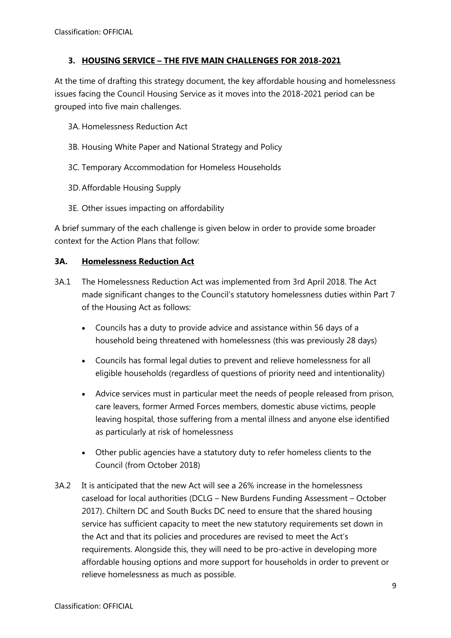#### **3. HOUSING SERVICE – THE FIVE MAIN CHALLENGES FOR 2018-2021**

At the time of drafting this strategy document, the key affordable housing and homelessness issues facing the Council Housing Service as it moves into the 2018-2021 period can be grouped into five main challenges.

#### 3A. Homelessness Reduction Act

- 3B. Housing White Paper and National Strategy and Policy
- 3C. Temporary Accommodation for Homeless Households
- 3D. Affordable Housing Supply
- 3E. Other issues impacting on affordability

A brief summary of the each challenge is given below in order to provide some broader context for the Action Plans that follow:

#### **3A. Homelessness Reduction Act**

- 3A.1 The Homelessness Reduction Act was implemented from 3rd April 2018. The Act made significant changes to the Council's statutory homelessness duties within Part 7 of the Housing Act as follows:
	- Councils has a duty to provide advice and assistance within 56 days of a household being threatened with homelessness (this was previously 28 days)
	- Councils has formal legal duties to prevent and relieve homelessness for all eligible households (regardless of questions of priority need and intentionality)
	- Advice services must in particular meet the needs of people released from prison, care leavers, former Armed Forces members, domestic abuse victims, people leaving hospital, those suffering from a mental illness and anyone else identified as particularly at risk of homelessness
	- Other public agencies have a statutory duty to refer homeless clients to the Council (from October 2018)
- 3A.2 It is anticipated that the new Act will see a 26% increase in the homelessness caseload for local authorities (DCLG – New Burdens Funding Assessment – October 2017). Chiltern DC and South Bucks DC need to ensure that the shared housing service has sufficient capacity to meet the new statutory requirements set down in the Act and that its policies and procedures are revised to meet the Act's requirements. Alongside this, they will need to be pro-active in developing more affordable housing options and more support for households in order to prevent or relieve homelessness as much as possible.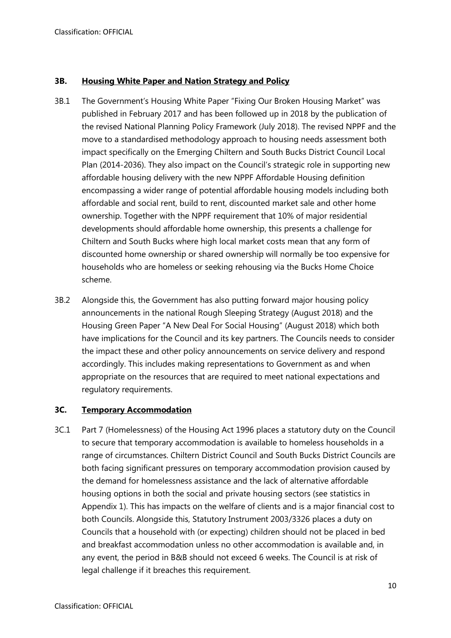#### **3B. Housing White Paper and Nation Strategy and Policy**

- 3B.1 The Government's Housing White Paper "Fixing Our Broken Housing Market" was published in February 2017 and has been followed up in 2018 by the publication of the revised National Planning Policy Framework (July 2018). The revised NPPF and the move to a standardised methodology approach to housing needs assessment both impact specifically on the Emerging Chiltern and South Bucks District Council Local Plan (2014-2036). They also impact on the Council's strategic role in supporting new affordable housing delivery with the new NPPF Affordable Housing definition encompassing a wider range of potential affordable housing models including both affordable and social rent, build to rent, discounted market sale and other home ownership. Together with the NPPF requirement that 10% of major residential developments should affordable home ownership, this presents a challenge for Chiltern and South Bucks where high local market costs mean that any form of discounted home ownership or shared ownership will normally be too expensive for households who are homeless or seeking rehousing via the Bucks Home Choice scheme.
- 3B.2 Alongside this, the Government has also putting forward major housing policy announcements in the national Rough Sleeping Strategy (August 2018) and the Housing Green Paper "A New Deal For Social Housing" (August 2018) which both have implications for the Council and its key partners. The Councils needs to consider the impact these and other policy announcements on service delivery and respond accordingly. This includes making representations to Government as and when appropriate on the resources that are required to meet national expectations and regulatory requirements.

#### **3C. Temporary Accommodation**

3C.1 Part 7 (Homelessness) of the Housing Act 1996 places a statutory duty on the Council to secure that temporary accommodation is available to homeless households in a range of circumstances. Chiltern District Council and South Bucks District Councils are both facing significant pressures on temporary accommodation provision caused by the demand for homelessness assistance and the lack of alternative affordable housing options in both the social and private housing sectors (see statistics in Appendix 1). This has impacts on the welfare of clients and is a major financial cost to both Councils. Alongside this, Statutory Instrument 2003/3326 places a duty on Councils that a household with (or expecting) children should not be placed in bed and breakfast accommodation unless no other accommodation is available and, in any event, the period in B&B should not exceed 6 weeks. The Council is at risk of legal challenge if it breaches this requirement.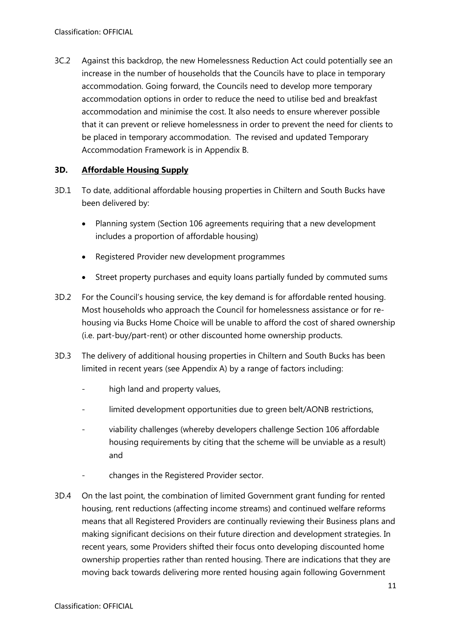3C.2 Against this backdrop, the new Homelessness Reduction Act could potentially see an increase in the number of households that the Councils have to place in temporary accommodation. Going forward, the Councils need to develop more temporary accommodation options in order to reduce the need to utilise bed and breakfast accommodation and minimise the cost. It also needs to ensure wherever possible that it can prevent or relieve homelessness in order to prevent the need for clients to be placed in temporary accommodation. The revised and updated Temporary Accommodation Framework is in Appendix B.

#### **3D. Affordable Housing Supply**

- 3D.1 To date, additional affordable housing properties in Chiltern and South Bucks have been delivered by:
	- Planning system (Section 106 agreements requiring that a new development includes a proportion of affordable housing)
	- Registered Provider new development programmes
	- Street property purchases and equity loans partially funded by commuted sums
- 3D.2 For the Council's housing service, the key demand is for affordable rented housing. Most households who approach the Council for homelessness assistance or for rehousing via Bucks Home Choice will be unable to afford the cost of shared ownership (i.e. part-buy/part-rent) or other discounted home ownership products.
- 3D.3 The delivery of additional housing properties in Chiltern and South Bucks has been limited in recent years (see Appendix A) by a range of factors including:
	- high land and property values,
	- limited development opportunities due to green belt/AONB restrictions,
	- viability challenges (whereby developers challenge Section 106 affordable housing requirements by citing that the scheme will be unviable as a result) and
	- changes in the Registered Provider sector.
- 3D.4 On the last point, the combination of limited Government grant funding for rented housing, rent reductions (affecting income streams) and continued welfare reforms means that all Registered Providers are continually reviewing their Business plans and making significant decisions on their future direction and development strategies. In recent years, some Providers shifted their focus onto developing discounted home ownership properties rather than rented housing. There are indications that they are moving back towards delivering more rented housing again following Government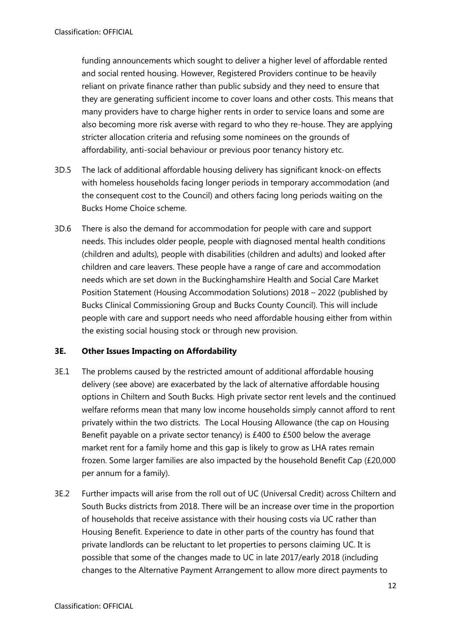funding announcements which sought to deliver a higher level of affordable rented and social rented housing. However, Registered Providers continue to be heavily reliant on private finance rather than public subsidy and they need to ensure that they are generating sufficient income to cover loans and other costs. This means that many providers have to charge higher rents in order to service loans and some are also becoming more risk averse with regard to who they re-house. They are applying stricter allocation criteria and refusing some nominees on the grounds of affordability, anti-social behaviour or previous poor tenancy history etc.

- 3D.5 The lack of additional affordable housing delivery has significant knock-on effects with homeless households facing longer periods in temporary accommodation (and the consequent cost to the Council) and others facing long periods waiting on the Bucks Home Choice scheme.
- 3D.6 There is also the demand for accommodation for people with care and support needs. This includes older people, people with diagnosed mental health conditions (children and adults), people with disabilities (children and adults) and looked after children and care leavers. These people have a range of care and accommodation needs which are set down in the Buckinghamshire Health and Social Care Market Position Statement (Housing Accommodation Solutions) 2018 – 2022 (published by Bucks Clinical Commissioning Group and Bucks County Council). This will include people with care and support needs who need affordable housing either from within the existing social housing stock or through new provision.

#### **3E. Other Issues Impacting on Affordability**

- 3E.1 The problems caused by the restricted amount of additional affordable housing delivery (see above) are exacerbated by the lack of alternative affordable housing options in Chiltern and South Bucks. High private sector rent levels and the continued welfare reforms mean that many low income households simply cannot afford to rent privately within the two districts. The Local Housing Allowance (the cap on Housing Benefit payable on a private sector tenancy) is £400 to £500 below the average market rent for a family home and this gap is likely to grow as LHA rates remain frozen. Some larger families are also impacted by the household Benefit Cap (£20,000 per annum for a family).
- 3E.2 Further impacts will arise from the roll out of UC (Universal Credit) across Chiltern and South Bucks districts from 2018. There will be an increase over time in the proportion of households that receive assistance with their housing costs via UC rather than Housing Benefit. Experience to date in other parts of the country has found that private landlords can be reluctant to let properties to persons claiming UC. It is possible that some of the changes made to UC in late 2017/early 2018 (including changes to the Alternative Payment Arrangement to allow more direct payments to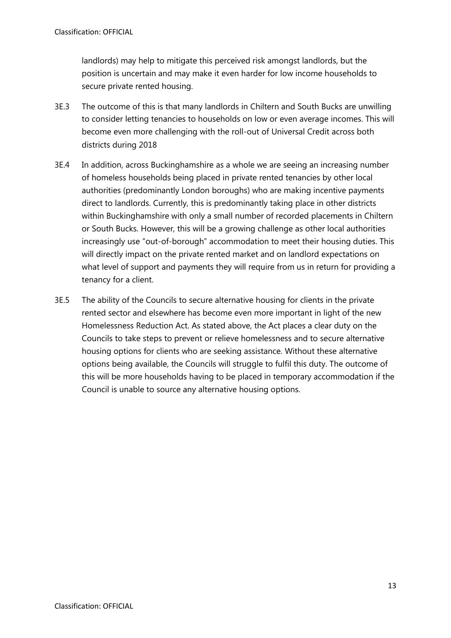landlords) may help to mitigate this perceived risk amongst landlords, but the position is uncertain and may make it even harder for low income households to secure private rented housing.

- 3E.3 The outcome of this is that many landlords in Chiltern and South Bucks are unwilling to consider letting tenancies to households on low or even average incomes. This will become even more challenging with the roll-out of Universal Credit across both districts during 2018
- 3E.4 In addition, across Buckinghamshire as a whole we are seeing an increasing number of homeless households being placed in private rented tenancies by other local authorities (predominantly London boroughs) who are making incentive payments direct to landlords. Currently, this is predominantly taking place in other districts within Buckinghamshire with only a small number of recorded placements in Chiltern or South Bucks. However, this will be a growing challenge as other local authorities increasingly use "out-of-borough" accommodation to meet their housing duties. This will directly impact on the private rented market and on landlord expectations on what level of support and payments they will require from us in return for providing a tenancy for a client.
- 3E.5 The ability of the Councils to secure alternative housing for clients in the private rented sector and elsewhere has become even more important in light of the new Homelessness Reduction Act. As stated above, the Act places a clear duty on the Councils to take steps to prevent or relieve homelessness and to secure alternative housing options for clients who are seeking assistance. Without these alternative options being available, the Councils will struggle to fulfil this duty. The outcome of this will be more households having to be placed in temporary accommodation if the Council is unable to source any alternative housing options.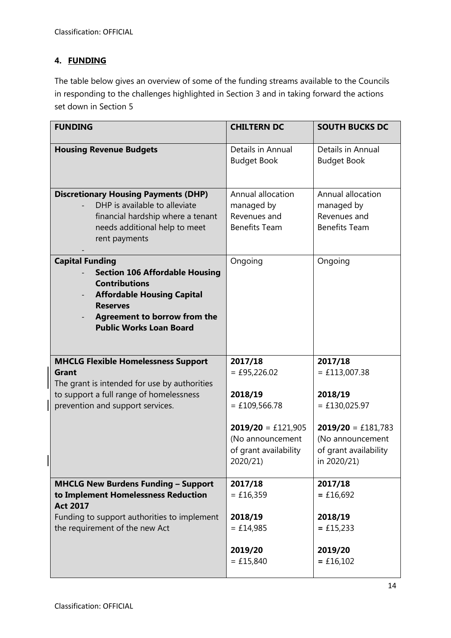#### **4. FUNDING**

The table below gives an overview of some of the funding streams available to the Councils in responding to the challenges highlighted in Section 3 and in taking forward the actions set down in Section 5

| <b>FUNDING</b>                                                                                                                                                                                                    | <b>CHILTERN DC</b>                                                                                                                       | <b>SOUTH BUCKS DC</b>                                                                                                                        |
|-------------------------------------------------------------------------------------------------------------------------------------------------------------------------------------------------------------------|------------------------------------------------------------------------------------------------------------------------------------------|----------------------------------------------------------------------------------------------------------------------------------------------|
| <b>Housing Revenue Budgets</b>                                                                                                                                                                                    | Details in Annual<br><b>Budget Book</b>                                                                                                  | Details in Annual<br><b>Budget Book</b>                                                                                                      |
| <b>Discretionary Housing Payments (DHP)</b><br>DHP is available to alleviate<br>financial hardship where a tenant<br>needs additional help to meet<br>rent payments                                               | Annual allocation<br>managed by<br>Revenues and<br><b>Benefits Team</b>                                                                  | Annual allocation<br>managed by<br>Revenues and<br><b>Benefits Team</b>                                                                      |
| <b>Capital Funding</b><br><b>Section 106 Affordable Housing</b><br><b>Contributions</b><br><b>Affordable Housing Capital</b><br><b>Reserves</b><br>Agreement to borrow from the<br><b>Public Works Loan Board</b> | Ongoing                                                                                                                                  | Ongoing                                                                                                                                      |
| <b>MHCLG Flexible Homelessness Support</b><br><b>Grant</b><br>The grant is intended for use by authorities<br>to support a full range of homelessness<br>prevention and support services.                         | 2017/18<br>$= £95,226.02$<br>2018/19<br>$= £109,566.78$<br>$2019/20 = £121,905$<br>(No announcement<br>of grant availability<br>2020/21) | 2017/18<br>$= £113,007.38$<br>2018/19<br>$= £130,025.97$<br>$2019/20 = £181,783$<br>(No announcement<br>of grant availability<br>in 2020/21) |
| <b>MHCLG New Burdens Funding - Support</b><br>to Implement Homelessness Reduction<br><b>Act 2017</b><br>Funding to support authorities to implement<br>the requirement of the new Act                             | 2017/18<br>$= £16,359$<br>2018/19<br>$=$ £14,985<br>2019/20<br>$= £15,840$                                                               | 2017/18<br>$= £16,692$<br>2018/19<br>$= £15,233$<br>2019/20<br>$= £16,102$                                                                   |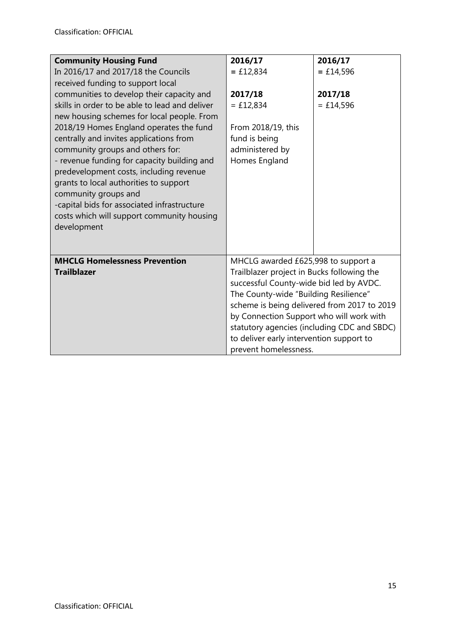| <b>Community Housing Fund</b>                  | 2016/17                                     | 2016/17     |  |
|------------------------------------------------|---------------------------------------------|-------------|--|
| In 2016/17 and 2017/18 the Councils            | $= £12,834$                                 | $=$ £14,596 |  |
| received funding to support local              |                                             |             |  |
| communities to develop their capacity and      | 2017/18                                     | 2017/18     |  |
| skills in order to be able to lead and deliver | $= £12,834$                                 | $= £14,596$ |  |
| new housing schemes for local people. From     |                                             |             |  |
| 2018/19 Homes England operates the fund        | From 2018/19, this                          |             |  |
| centrally and invites applications from        | fund is being                               |             |  |
| community groups and others for:               | administered by                             |             |  |
| - revenue funding for capacity building and    | Homes England                               |             |  |
| predevelopment costs, including revenue        |                                             |             |  |
| grants to local authorities to support         |                                             |             |  |
| community groups and                           |                                             |             |  |
| -capital bids for associated infrastructure    |                                             |             |  |
| costs which will support community housing     |                                             |             |  |
| development                                    |                                             |             |  |
|                                                |                                             |             |  |
|                                                |                                             |             |  |
| <b>MHCLG Homelessness Prevention</b>           | MHCLG awarded £625,998 to support a         |             |  |
| <b>Trailblazer</b>                             | Trailblazer project in Bucks following the  |             |  |
|                                                | successful County-wide bid led by AVDC.     |             |  |
|                                                | The County-wide "Building Resilience"       |             |  |
|                                                | scheme is being delivered from 2017 to 2019 |             |  |
|                                                | by Connection Support who will work with    |             |  |
|                                                | statutory agencies (including CDC and SBDC) |             |  |
|                                                | to deliver early intervention support to    |             |  |
|                                                | prevent homelessness.                       |             |  |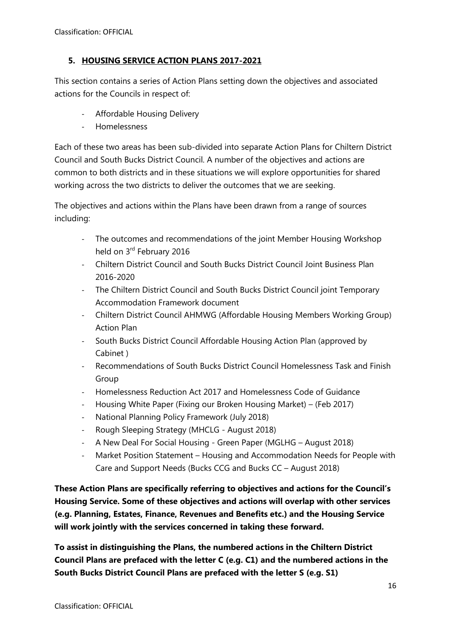#### **5. HOUSING SERVICE ACTION PLANS 2017-2021**

This section contains a series of Action Plans setting down the objectives and associated actions for the Councils in respect of:

- Affordable Housing Delivery
- Homelessness

Each of these two areas has been sub-divided into separate Action Plans for Chiltern District Council and South Bucks District Council. A number of the objectives and actions are common to both districts and in these situations we will explore opportunities for shared working across the two districts to deliver the outcomes that we are seeking.

The objectives and actions within the Plans have been drawn from a range of sources including:

- The outcomes and recommendations of the joint Member Housing Workshop held on 3<sup>rd</sup> February 2016
- Chiltern District Council and South Bucks District Council Joint Business Plan 2016-2020
- The Chiltern District Council and South Bucks District Council joint Temporary Accommodation Framework document
- Chiltern District Council AHMWG (Affordable Housing Members Working Group) Action Plan
- South Bucks District Council Affordable Housing Action Plan (approved by Cabinet )
- Recommendations of South Bucks District Council Homelessness Task and Finish Group
- Homelessness Reduction Act 2017 and Homelessness Code of Guidance
- Housing White Paper (Fixing our Broken Housing Market) (Feb 2017)
- National Planning Policy Framework (July 2018)
- Rough Sleeping Strategy (MHCLG August 2018)
- A New Deal For Social Housing Green Paper (MGLHG August 2018)
- Market Position Statement Housing and Accommodation Needs for People with Care and Support Needs (Bucks CCG and Bucks CC – August 2018)

**These Action Plans are specifically referring to objectives and actions for the Council's Housing Service. Some of these objectives and actions will overlap with other services (e.g. Planning, Estates, Finance, Revenues and Benefits etc.) and the Housing Service will work jointly with the services concerned in taking these forward.**

**To assist in distinguishing the Plans, the numbered actions in the Chiltern District Council Plans are prefaced with the letter C (e.g. C1) and the numbered actions in the South Bucks District Council Plans are prefaced with the letter S (e.g. S1)**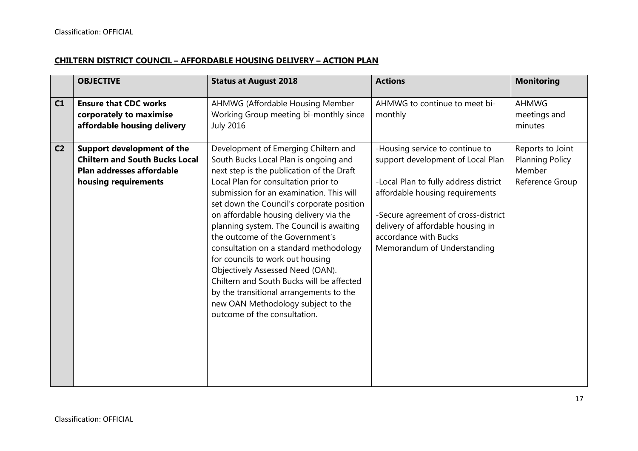#### **CHILTERN DISTRICT COUNCIL – AFFORDABLE HOUSING DELIVERY – ACTION PLAN**

|                | <b>OBJECTIVE</b>                                                                                                         | <b>Status at August 2018</b>                                                                                                                                                                                                                                                                                                                                                                                                                                                                                                                                                                                                                                         | <b>Actions</b>                                                                                                                                                                                                                                                                       | <b>Monitoring</b>                                                       |
|----------------|--------------------------------------------------------------------------------------------------------------------------|----------------------------------------------------------------------------------------------------------------------------------------------------------------------------------------------------------------------------------------------------------------------------------------------------------------------------------------------------------------------------------------------------------------------------------------------------------------------------------------------------------------------------------------------------------------------------------------------------------------------------------------------------------------------|--------------------------------------------------------------------------------------------------------------------------------------------------------------------------------------------------------------------------------------------------------------------------------------|-------------------------------------------------------------------------|
| C1             | <b>Ensure that CDC works</b><br>corporately to maximise<br>affordable housing delivery                                   | AHMWG (Affordable Housing Member<br>Working Group meeting bi-monthly since<br><b>July 2016</b>                                                                                                                                                                                                                                                                                                                                                                                                                                                                                                                                                                       | AHMWG to continue to meet bi-<br>monthly                                                                                                                                                                                                                                             | <b>AHMWG</b><br>meetings and<br>minutes                                 |
| C <sub>2</sub> | Support development of the<br><b>Chiltern and South Bucks Local</b><br>Plan addresses affordable<br>housing requirements | Development of Emerging Chiltern and<br>South Bucks Local Plan is ongoing and<br>next step is the publication of the Draft<br>Local Plan for consultation prior to<br>submission for an examination. This will<br>set down the Council's corporate position<br>on affordable housing delivery via the<br>planning system. The Council is awaiting<br>the outcome of the Government's<br>consultation on a standard methodology<br>for councils to work out housing<br>Objectively Assessed Need (OAN).<br>Chiltern and South Bucks will be affected<br>by the transitional arrangements to the<br>new OAN Methodology subject to the<br>outcome of the consultation. | -Housing service to continue to<br>support development of Local Plan<br>-Local Plan to fully address district<br>affordable housing requirements<br>-Secure agreement of cross-district<br>delivery of affordable housing in<br>accordance with Bucks<br>Memorandum of Understanding | Reports to Joint<br><b>Planning Policy</b><br>Member<br>Reference Group |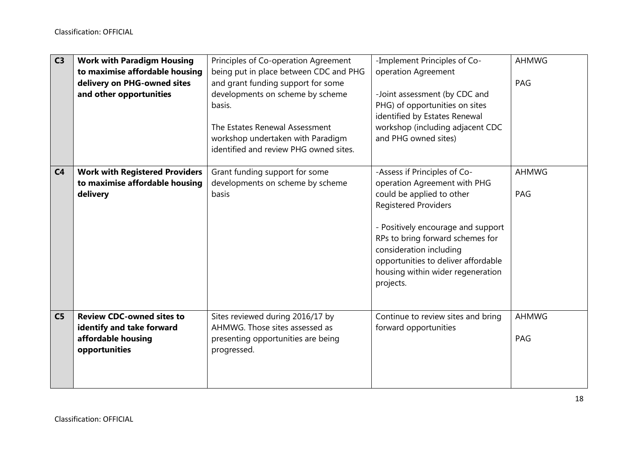| C <sub>3</sub> | <b>Work with Paradigm Housing</b><br>to maximise affordable housing<br>delivery on PHG-owned sites<br>and other opportunities | Principles of Co-operation Agreement<br>being put in place between CDC and PHG<br>and grant funding support for some<br>developments on scheme by scheme<br>basis.<br>The Estates Renewal Assessment<br>workshop undertaken with Paradigm<br>identified and review PHG owned sites. | -Implement Principles of Co-<br>operation Agreement<br>-Joint assessment (by CDC and<br>PHG) of opportunities on sites<br>identified by Estates Renewal<br>workshop (including adjacent CDC<br>and PHG owned sites)                                                                                                    | <b>AHMWG</b><br>PAG |
|----------------|-------------------------------------------------------------------------------------------------------------------------------|-------------------------------------------------------------------------------------------------------------------------------------------------------------------------------------------------------------------------------------------------------------------------------------|------------------------------------------------------------------------------------------------------------------------------------------------------------------------------------------------------------------------------------------------------------------------------------------------------------------------|---------------------|
| C <sub>4</sub> | <b>Work with Registered Providers</b><br>to maximise affordable housing<br>delivery                                           | Grant funding support for some<br>developments on scheme by scheme<br>basis                                                                                                                                                                                                         | -Assess if Principles of Co-<br>operation Agreement with PHG<br>could be applied to other<br><b>Registered Providers</b><br>- Positively encourage and support<br>RPs to bring forward schemes for<br>consideration including<br>opportunities to deliver affordable<br>housing within wider regeneration<br>projects. | <b>AHMWG</b><br>PAG |
| C <sub>5</sub> | <b>Review CDC-owned sites to</b><br>identify and take forward<br>affordable housing<br>opportunities                          | Sites reviewed during 2016/17 by<br>AHMWG. Those sites assessed as<br>presenting opportunities are being<br>progressed.                                                                                                                                                             | Continue to review sites and bring<br>forward opportunities                                                                                                                                                                                                                                                            | <b>AHMWG</b><br>PAG |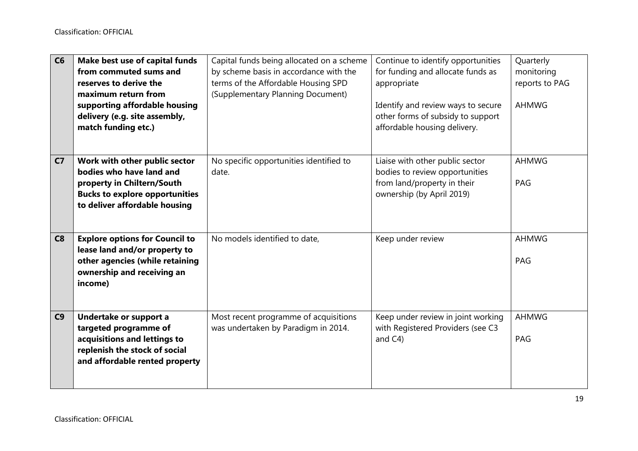| C6             | Make best use of capital funds<br>from commuted sums and<br>reserves to derive the<br>maximum return from<br>supporting affordable housing<br>delivery (e.g. site assembly,<br>match funding etc.) | Capital funds being allocated on a scheme<br>by scheme basis in accordance with the<br>terms of the Affordable Housing SPD<br>(Supplementary Planning Document) | Continue to identify opportunities<br>for funding and allocate funds as<br>appropriate<br>Identify and review ways to secure<br>other forms of subsidy to support<br>affordable housing delivery. | Quarterly<br>monitoring<br>reports to PAG<br><b>AHMWG</b> |
|----------------|----------------------------------------------------------------------------------------------------------------------------------------------------------------------------------------------------|-----------------------------------------------------------------------------------------------------------------------------------------------------------------|---------------------------------------------------------------------------------------------------------------------------------------------------------------------------------------------------|-----------------------------------------------------------|
| C <sub>7</sub> | Work with other public sector<br>bodies who have land and<br>property in Chiltern/South<br><b>Bucks to explore opportunities</b><br>to deliver affordable housing                                  | No specific opportunities identified to<br>date.                                                                                                                | Liaise with other public sector<br>bodies to review opportunities<br>from land/property in their<br>ownership (by April 2019)                                                                     | <b>AHMWG</b><br>PAG                                       |
| C8             | <b>Explore options for Council to</b><br>lease land and/or property to<br>other agencies (while retaining<br>ownership and receiving an<br>income)                                                 | No models identified to date,                                                                                                                                   | Keep under review                                                                                                                                                                                 | <b>AHMWG</b><br>PAG                                       |
| C <sub>9</sub> | Undertake or support a<br>targeted programme of<br>acquisitions and lettings to<br>replenish the stock of social<br>and affordable rented property                                                 | Most recent programme of acquisitions<br>was undertaken by Paradigm in 2014.                                                                                    | Keep under review in joint working<br>with Registered Providers (see C3<br>and C4)                                                                                                                | <b>AHMWG</b><br>PAG                                       |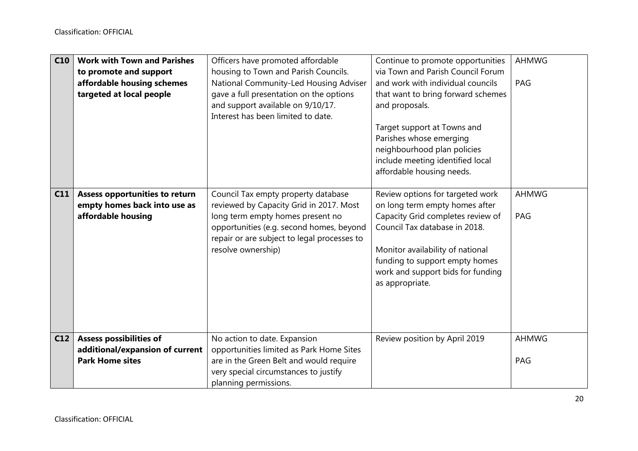| C10 | <b>Work with Town and Parishes</b><br>to promote and support<br>affordable housing schemes<br>targeted at local people | Officers have promoted affordable<br>housing to Town and Parish Councils.<br>National Community-Led Housing Adviser<br>gave a full presentation on the options<br>and support available on 9/10/17.<br>Interest has been limited to date. | Continue to promote opportunities<br>via Town and Parish Council Forum<br>and work with individual councils<br>that want to bring forward schemes<br>and proposals.<br>Target support at Towns and<br>Parishes whose emerging<br>neighbourhood plan policies<br>include meeting identified local<br>affordable housing needs. | <b>AHMWG</b><br>PAG |
|-----|------------------------------------------------------------------------------------------------------------------------|-------------------------------------------------------------------------------------------------------------------------------------------------------------------------------------------------------------------------------------------|-------------------------------------------------------------------------------------------------------------------------------------------------------------------------------------------------------------------------------------------------------------------------------------------------------------------------------|---------------------|
| C11 | Assess opportunities to return<br>empty homes back into use as<br>affordable housing                                   | Council Tax empty property database<br>reviewed by Capacity Grid in 2017. Most<br>long term empty homes present no<br>opportunities (e.g. second homes, beyond<br>repair or are subject to legal processes to<br>resolve ownership)       | Review options for targeted work<br>on long term empty homes after<br>Capacity Grid completes review of<br>Council Tax database in 2018.<br>Monitor availability of national<br>funding to support empty homes<br>work and support bids for funding<br>as appropriate.                                                        | <b>AHMWG</b><br>PAG |
| C12 | <b>Assess possibilities of</b><br>additional/expansion of current<br><b>Park Home sites</b>                            | No action to date. Expansion<br>opportunities limited as Park Home Sites<br>are in the Green Belt and would require<br>very special circumstances to justify<br>planning permissions.                                                     | Review position by April 2019                                                                                                                                                                                                                                                                                                 | <b>AHMWG</b><br>PAG |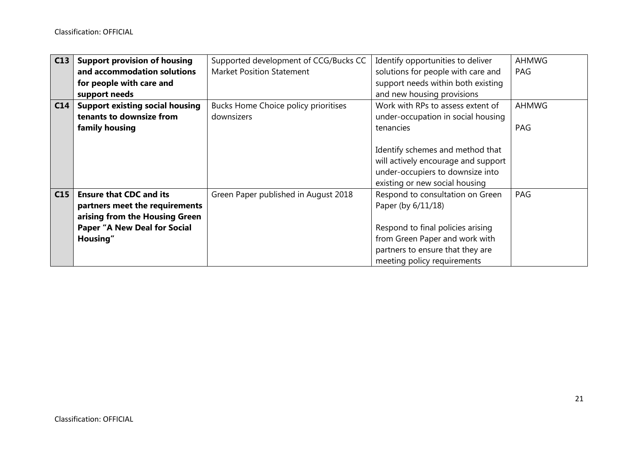| C13 | <b>Support provision of housing</b>    | Supported development of CCG/Bucks CC | Identify opportunities to deliver   | <b>AHMWG</b> |
|-----|----------------------------------------|---------------------------------------|-------------------------------------|--------------|
|     | and accommodation solutions            | <b>Market Position Statement</b>      | solutions for people with care and  | PAG          |
|     | for people with care and               |                                       | support needs within both existing  |              |
|     | support needs                          |                                       | and new housing provisions          |              |
| C14 | <b>Support existing social housing</b> | Bucks Home Choice policy prioritises  | Work with RPs to assess extent of   | <b>AHMWG</b> |
|     | tenants to downsize from               | downsizers                            | under-occupation in social housing  |              |
|     | family housing                         |                                       | tenancies                           | PAG          |
|     |                                        |                                       |                                     |              |
|     |                                        |                                       | Identify schemes and method that    |              |
|     |                                        |                                       | will actively encourage and support |              |
|     |                                        |                                       | under-occupiers to downsize into    |              |
|     |                                        |                                       | existing or new social housing      |              |
| C15 | <b>Ensure that CDC and its</b>         | Green Paper published in August 2018  | Respond to consultation on Green    | PAG          |
|     | partners meet the requirements         |                                       | Paper (by 6/11/18)                  |              |
|     | arising from the Housing Green         |                                       |                                     |              |
|     | <b>Paper "A New Deal for Social</b>    |                                       | Respond to final policies arising   |              |
|     | Housing"                               |                                       | from Green Paper and work with      |              |
|     |                                        |                                       | partners to ensure that they are    |              |
|     |                                        |                                       | meeting policy requirements         |              |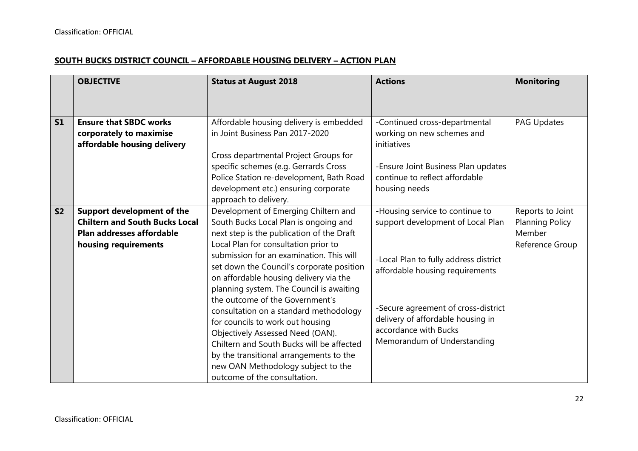#### **SOUTH BUCKS DISTRICT COUNCIL – AFFORDABLE HOUSING DELIVERY – ACTION PLAN**

|                | <b>OBJECTIVE</b>                                                                                                                | <b>Status at August 2018</b>                                                                                                                                                                                                                                                                                                                                                                                                                                                                                                                                                                                                                                         | <b>Actions</b>                                                                                                                                                                                                                                                                       | <b>Monitoring</b>                                                       |
|----------------|---------------------------------------------------------------------------------------------------------------------------------|----------------------------------------------------------------------------------------------------------------------------------------------------------------------------------------------------------------------------------------------------------------------------------------------------------------------------------------------------------------------------------------------------------------------------------------------------------------------------------------------------------------------------------------------------------------------------------------------------------------------------------------------------------------------|--------------------------------------------------------------------------------------------------------------------------------------------------------------------------------------------------------------------------------------------------------------------------------------|-------------------------------------------------------------------------|
|                |                                                                                                                                 |                                                                                                                                                                                                                                                                                                                                                                                                                                                                                                                                                                                                                                                                      |                                                                                                                                                                                                                                                                                      |                                                                         |
| S <sub>1</sub> | <b>Ensure that SBDC works</b><br>corporately to maximise<br>affordable housing delivery                                         | Affordable housing delivery is embedded<br>in Joint Business Pan 2017-2020<br>Cross departmental Project Groups for<br>specific schemes (e.g. Gerrards Cross<br>Police Station re-development, Bath Road<br>development etc.) ensuring corporate<br>approach to delivery.                                                                                                                                                                                                                                                                                                                                                                                            | -Continued cross-departmental<br>working on new schemes and<br>initiatives<br>-Ensure Joint Business Plan updates<br>continue to reflect affordable<br>housing needs                                                                                                                 | <b>PAG Updates</b>                                                      |
| <b>S2</b>      | <b>Support development of the</b><br><b>Chiltern and South Bucks Local</b><br>Plan addresses affordable<br>housing requirements | Development of Emerging Chiltern and<br>South Bucks Local Plan is ongoing and<br>next step is the publication of the Draft<br>Local Plan for consultation prior to<br>submission for an examination. This will<br>set down the Council's corporate position<br>on affordable housing delivery via the<br>planning system. The Council is awaiting<br>the outcome of the Government's<br>consultation on a standard methodology<br>for councils to work out housing<br>Objectively Assessed Need (OAN).<br>Chiltern and South Bucks will be affected<br>by the transitional arrangements to the<br>new OAN Methodology subject to the<br>outcome of the consultation. | -Housing service to continue to<br>support development of Local Plan<br>-Local Plan to fully address district<br>affordable housing requirements<br>-Secure agreement of cross-district<br>delivery of affordable housing in<br>accordance with Bucks<br>Memorandum of Understanding | Reports to Joint<br><b>Planning Policy</b><br>Member<br>Reference Group |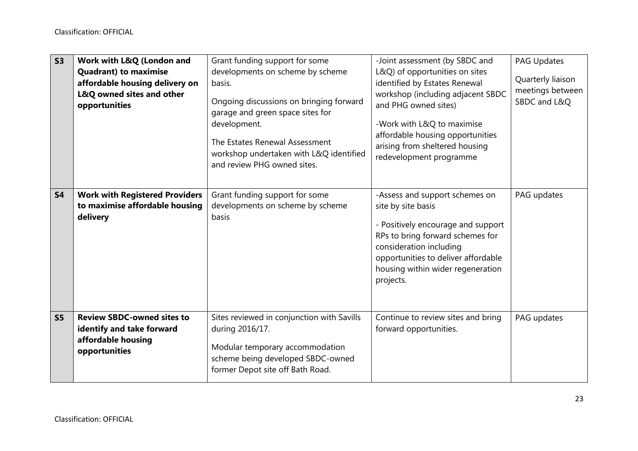| S <sub>3</sub> | Work with L&Q (London and<br><b>Quadrant) to maximise</b><br>affordable housing delivery on<br>L&Q owned sites and other<br>opportunities | Grant funding support for some<br>developments on scheme by scheme<br>basis.<br>Ongoing discussions on bringing forward<br>garage and green space sites for<br>development.<br>The Estates Renewal Assessment<br>workshop undertaken with L&Q identified<br>and review PHG owned sites. | -Joint assessment (by SBDC and<br>L&Q) of opportunities on sites<br>identified by Estates Renewal<br>workshop (including adjacent SBDC<br>and PHG owned sites)<br>-Work with L&Q to maximise<br>affordable housing opportunities<br>arising from sheltered housing<br>redevelopment programme | <b>PAG Updates</b><br>Quarterly liaison<br>meetings between<br>SBDC and L&Q |
|----------------|-------------------------------------------------------------------------------------------------------------------------------------------|-----------------------------------------------------------------------------------------------------------------------------------------------------------------------------------------------------------------------------------------------------------------------------------------|-----------------------------------------------------------------------------------------------------------------------------------------------------------------------------------------------------------------------------------------------------------------------------------------------|-----------------------------------------------------------------------------|
| <b>S4</b>      | <b>Work with Registered Providers</b><br>to maximise affordable housing<br>delivery                                                       | Grant funding support for some<br>developments on scheme by scheme<br>basis                                                                                                                                                                                                             | -Assess and support schemes on<br>site by site basis<br>- Positively encourage and support<br>RPs to bring forward schemes for<br>consideration including<br>opportunities to deliver affordable<br>housing within wider regeneration<br>projects.                                            | PAG updates                                                                 |
| S <sub>5</sub> | <b>Review SBDC-owned sites to</b><br>identify and take forward<br>affordable housing<br>opportunities                                     | Sites reviewed in conjunction with Savills<br>during 2016/17.<br>Modular temporary accommodation<br>scheme being developed SBDC-owned<br>former Depot site off Bath Road.                                                                                                               | Continue to review sites and bring<br>forward opportunities.                                                                                                                                                                                                                                  | PAG updates                                                                 |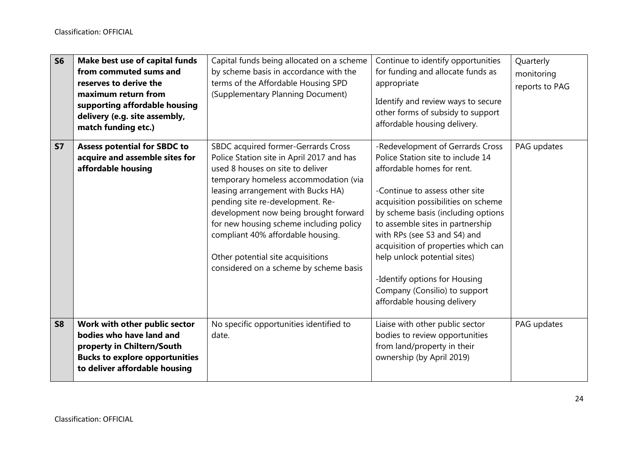| <b>S6</b> | Make best use of capital funds<br>from commuted sums and<br>reserves to derive the<br>maximum return from<br>supporting affordable housing<br>delivery (e.g. site assembly,<br>match funding etc.) | Capital funds being allocated on a scheme<br>by scheme basis in accordance with the<br>terms of the Affordable Housing SPD<br>(Supplementary Planning Document)                                                                                                                                                                                                                                                                                 | Continue to identify opportunities<br>for funding and allocate funds as<br>appropriate<br>Identify and review ways to secure<br>other forms of subsidy to support<br>affordable housing delivery.                                                                                                                                                                                                                                                              | Quarterly<br>monitoring<br>reports to PAG |
|-----------|----------------------------------------------------------------------------------------------------------------------------------------------------------------------------------------------------|-------------------------------------------------------------------------------------------------------------------------------------------------------------------------------------------------------------------------------------------------------------------------------------------------------------------------------------------------------------------------------------------------------------------------------------------------|----------------------------------------------------------------------------------------------------------------------------------------------------------------------------------------------------------------------------------------------------------------------------------------------------------------------------------------------------------------------------------------------------------------------------------------------------------------|-------------------------------------------|
| <b>S7</b> | <b>Assess potential for SBDC to</b><br>acquire and assemble sites for<br>affordable housing                                                                                                        | SBDC acquired former-Gerrards Cross<br>Police Station site in April 2017 and has<br>used 8 houses on site to deliver<br>temporary homeless accommodation (via<br>leasing arrangement with Bucks HA)<br>pending site re-development. Re-<br>development now being brought forward<br>for new housing scheme including policy<br>compliant 40% affordable housing.<br>Other potential site acquisitions<br>considered on a scheme by scheme basis | -Redevelopment of Gerrards Cross<br>Police Station site to include 14<br>affordable homes for rent.<br>-Continue to assess other site<br>acquisition possibilities on scheme<br>by scheme basis (including options<br>to assemble sites in partnership<br>with RPs (see S3 and S4) and<br>acquisition of properties which can<br>help unlock potential sites)<br>-Identify options for Housing<br>Company (Consilio) to support<br>affordable housing delivery | PAG updates                               |
| <b>S8</b> | Work with other public sector<br>bodies who have land and<br>property in Chiltern/South<br><b>Bucks to explore opportunities</b><br>to deliver affordable housing                                  | No specific opportunities identified to<br>date.                                                                                                                                                                                                                                                                                                                                                                                                | Liaise with other public sector<br>bodies to review opportunities<br>from land/property in their<br>ownership (by April 2019)                                                                                                                                                                                                                                                                                                                                  | PAG updates                               |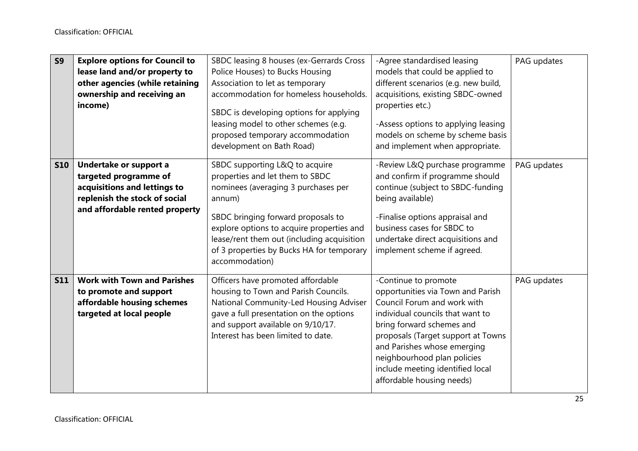| <b>S9</b>  | <b>Explore options for Council to</b><br>lease land and/or property to<br>other agencies (while retaining<br>ownership and receiving an<br>income) | SBDC leasing 8 houses (ex-Gerrards Cross<br>Police Houses) to Bucks Housing<br>Association to let as temporary<br>accommodation for homeless households.<br>SBDC is developing options for applying<br>leasing model to other schemes (e.g.<br>proposed temporary accommodation<br>development on Bath Road)       | -Agree standardised leasing<br>models that could be applied to<br>different scenarios (e.g. new build,<br>acquisitions, existing SBDC-owned<br>properties etc.)<br>-Assess options to applying leasing<br>models on scheme by scheme basis<br>and implement when appropriate.                                                  | PAG updates |
|------------|----------------------------------------------------------------------------------------------------------------------------------------------------|--------------------------------------------------------------------------------------------------------------------------------------------------------------------------------------------------------------------------------------------------------------------------------------------------------------------|--------------------------------------------------------------------------------------------------------------------------------------------------------------------------------------------------------------------------------------------------------------------------------------------------------------------------------|-------------|
| <b>S10</b> | Undertake or support a<br>targeted programme of<br>acquisitions and lettings to<br>replenish the stock of social<br>and affordable rented property | SBDC supporting L&Q to acquire<br>properties and let them to SBDC<br>nominees (averaging 3 purchases per<br>annum)<br>SBDC bringing forward proposals to<br>explore options to acquire properties and<br>lease/rent them out (including acquisition<br>of 3 properties by Bucks HA for temporary<br>accommodation) | -Review L&Q purchase programme<br>and confirm if programme should<br>continue (subject to SBDC-funding<br>being available)<br>-Finalise options appraisal and<br>business cases for SBDC to<br>undertake direct acquisitions and<br>implement scheme if agreed.                                                                | PAG updates |
| <b>S11</b> | <b>Work with Town and Parishes</b><br>to promote and support<br>affordable housing schemes<br>targeted at local people                             | Officers have promoted affordable<br>housing to Town and Parish Councils.<br>National Community-Led Housing Adviser<br>gave a full presentation on the options<br>and support available on 9/10/17.<br>Interest has been limited to date.                                                                          | -Continue to promote<br>opportunities via Town and Parish<br>Council Forum and work with<br>individual councils that want to<br>bring forward schemes and<br>proposals (Target support at Towns<br>and Parishes whose emerging<br>neighbourhood plan policies<br>include meeting identified local<br>affordable housing needs) | PAG updates |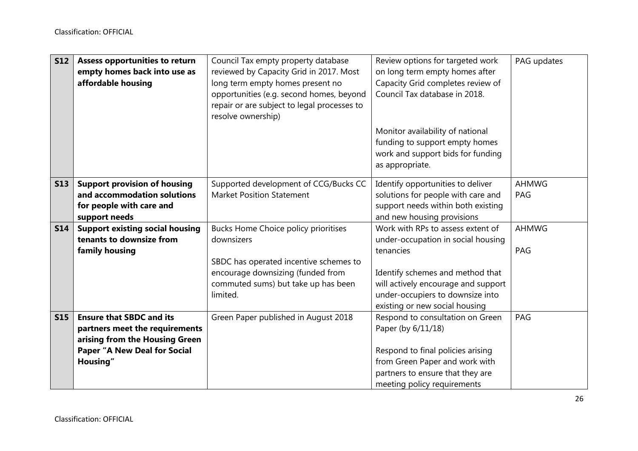| <b>S12</b> | <b>Assess opportunities to return</b>  | Council Tax empty property database         | Review options for targeted work    | PAG updates  |
|------------|----------------------------------------|---------------------------------------------|-------------------------------------|--------------|
|            | empty homes back into use as           | reviewed by Capacity Grid in 2017. Most     | on long term empty homes after      |              |
|            | affordable housing                     | long term empty homes present no            | Capacity Grid completes review of   |              |
|            |                                        | opportunities (e.g. second homes, beyond    | Council Tax database in 2018.       |              |
|            |                                        | repair or are subject to legal processes to |                                     |              |
|            |                                        | resolve ownership)                          |                                     |              |
|            |                                        |                                             | Monitor availability of national    |              |
|            |                                        |                                             | funding to support empty homes      |              |
|            |                                        |                                             | work and support bids for funding   |              |
|            |                                        |                                             | as appropriate.                     |              |
| <b>S13</b> | <b>Support provision of housing</b>    | Supported development of CCG/Bucks CC       | Identify opportunities to deliver   | <b>AHMWG</b> |
|            | and accommodation solutions            | <b>Market Position Statement</b>            | solutions for people with care and  | PAG          |
|            | for people with care and               |                                             | support needs within both existing  |              |
|            | support needs                          |                                             | and new housing provisions          |              |
| <b>S14</b> | <b>Support existing social housing</b> | <b>Bucks Home Choice policy prioritises</b> | Work with RPs to assess extent of   | <b>AHMWG</b> |
|            | tenants to downsize from               | downsizers                                  | under-occupation in social housing  |              |
|            | family housing                         |                                             | tenancies                           | PAG          |
|            |                                        | SBDC has operated incentive schemes to      |                                     |              |
|            |                                        | encourage downsizing (funded from           | Identify schemes and method that    |              |
|            |                                        | commuted sums) but take up has been         | will actively encourage and support |              |
|            |                                        | limited.                                    | under-occupiers to downsize into    |              |
|            |                                        |                                             | existing or new social housing      |              |
| <b>S15</b> | <b>Ensure that SBDC and its</b>        | Green Paper published in August 2018        | Respond to consultation on Green    | PAG          |
|            | partners meet the requirements         |                                             | Paper (by 6/11/18)                  |              |
|            | arising from the Housing Green         |                                             |                                     |              |
|            | <b>Paper "A New Deal for Social</b>    |                                             | Respond to final policies arising   |              |
|            | Housing"                               |                                             | from Green Paper and work with      |              |
|            |                                        |                                             | partners to ensure that they are    |              |
|            |                                        |                                             | meeting policy requirements         |              |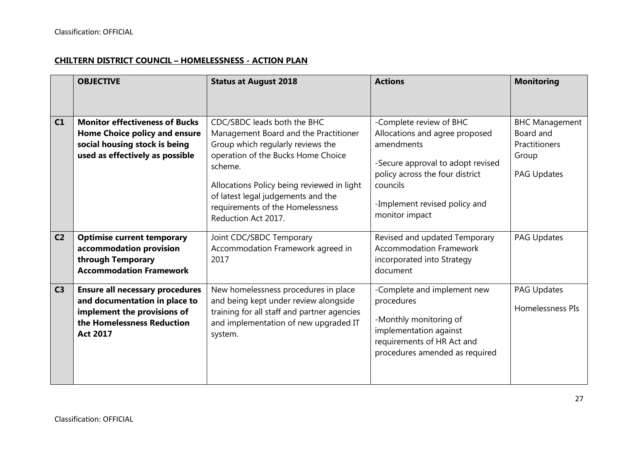#### **CHILTERN DISTRICT COUNCIL – HOMELESSNESS - ACTION PLAN**

|                | <b>OBJECTIVE</b>                                                                                                                                        | <b>Status at August 2018</b>                                                                                                                                                                                                                                                                              | <b>Actions</b>                                                                                                                                                                                                 | <b>Monitoring</b>                                                           |
|----------------|---------------------------------------------------------------------------------------------------------------------------------------------------------|-----------------------------------------------------------------------------------------------------------------------------------------------------------------------------------------------------------------------------------------------------------------------------------------------------------|----------------------------------------------------------------------------------------------------------------------------------------------------------------------------------------------------------------|-----------------------------------------------------------------------------|
| C1             | <b>Monitor effectiveness of Bucks</b><br><b>Home Choice policy and ensure</b><br>social housing stock is being<br>used as effectively as possible       | CDC/SBDC leads both the BHC<br>Management Board and the Practitioner<br>Group which regularly reviews the<br>operation of the Bucks Home Choice<br>scheme.<br>Allocations Policy being reviewed in light<br>of latest legal judgements and the<br>requirements of the Homelessness<br>Reduction Act 2017. | -Complete review of BHC<br>Allocations and agree proposed<br>amendments<br>-Secure approval to adopt revised<br>policy across the four district<br>councils<br>-Implement revised policy and<br>monitor impact | <b>BHC Management</b><br>Board and<br>Practitioners<br>Group<br>PAG Updates |
| C <sub>2</sub> | <b>Optimise current temporary</b><br>accommodation provision<br>through Temporary<br><b>Accommodation Framework</b>                                     | Joint CDC/SBDC Temporary<br>Accommodation Framework agreed in<br>2017                                                                                                                                                                                                                                     | Revised and updated Temporary<br><b>Accommodation Framework</b><br>incorporated into Strategy<br>document                                                                                                      | PAG Updates                                                                 |
| C <sub>3</sub> | <b>Ensure all necessary procedures</b><br>and documentation in place to<br>implement the provisions of<br>the Homelessness Reduction<br><b>Act 2017</b> | New homelessness procedures in place<br>and being kept under review alongside<br>training for all staff and partner agencies<br>and implementation of new upgraded IT<br>system.                                                                                                                          | -Complete and implement new<br>procedures<br>-Monthly monitoring of<br>implementation against<br>requirements of HR Act and<br>procedures amended as required                                                  | PAG Updates<br>Homelessness PIs                                             |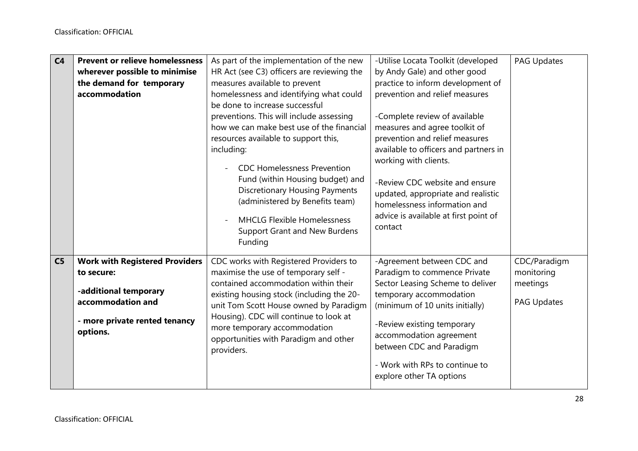| C <sub>4</sub> | <b>Prevent or relieve homelessness</b><br>wherever possible to minimise<br>the demand for temporary<br>accommodation                           | As part of the implementation of the new<br>HR Act (see C3) officers are reviewing the<br>measures available to prevent<br>homelessness and identifying what could<br>be done to increase successful<br>preventions. This will include assessing<br>how we can make best use of the financial<br>resources available to support this,<br>including:<br><b>CDC Homelessness Prevention</b><br>Fund (within Housing budget) and<br><b>Discretionary Housing Payments</b><br>(administered by Benefits team)<br><b>MHCLG Flexible Homelessness</b><br><b>Support Grant and New Burdens</b><br>Funding | -Utilise Locata Toolkit (developed<br>by Andy Gale) and other good<br>practice to inform development of<br>prevention and relief measures<br>-Complete review of available<br>measures and agree toolkit of<br>prevention and relief measures<br>available to officers and partners in<br>working with clients.<br>-Review CDC website and ensure<br>updated, appropriate and realistic<br>homelessness information and<br>advice is available at first point of<br>contact | <b>PAG Updates</b>                                           |
|----------------|------------------------------------------------------------------------------------------------------------------------------------------------|----------------------------------------------------------------------------------------------------------------------------------------------------------------------------------------------------------------------------------------------------------------------------------------------------------------------------------------------------------------------------------------------------------------------------------------------------------------------------------------------------------------------------------------------------------------------------------------------------|-----------------------------------------------------------------------------------------------------------------------------------------------------------------------------------------------------------------------------------------------------------------------------------------------------------------------------------------------------------------------------------------------------------------------------------------------------------------------------|--------------------------------------------------------------|
| C <sub>5</sub> | <b>Work with Registered Providers</b><br>to secure:<br>-additional temporary<br>accommodation and<br>- more private rented tenancy<br>options. | CDC works with Registered Providers to<br>maximise the use of temporary self -<br>contained accommodation within their<br>existing housing stock (including the 20-<br>unit Tom Scott House owned by Paradigm<br>Housing). CDC will continue to look at<br>more temporary accommodation<br>opportunities with Paradigm and other<br>providers.                                                                                                                                                                                                                                                     | -Agreement between CDC and<br>Paradigm to commence Private<br>Sector Leasing Scheme to deliver<br>temporary accommodation<br>(minimum of 10 units initially)<br>-Review existing temporary<br>accommodation agreement<br>between CDC and Paradigm<br>- Work with RPs to continue to<br>explore other TA options                                                                                                                                                             | CDC/Paradigm<br>monitoring<br>meetings<br><b>PAG Updates</b> |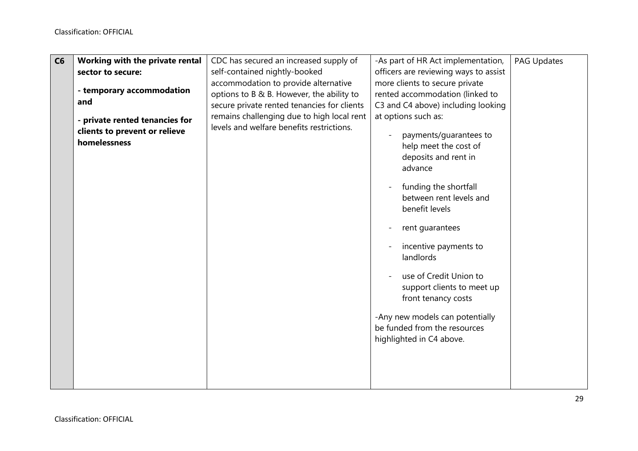| <b>PAG Updates</b> |
|--------------------|
|                    |
|                    |
|                    |
|                    |
|                    |
|                    |
|                    |
|                    |
|                    |
|                    |
|                    |
|                    |
|                    |
|                    |
|                    |
|                    |
|                    |
|                    |
|                    |
|                    |
|                    |
|                    |
|                    |
|                    |
|                    |
|                    |
|                    |
|                    |
|                    |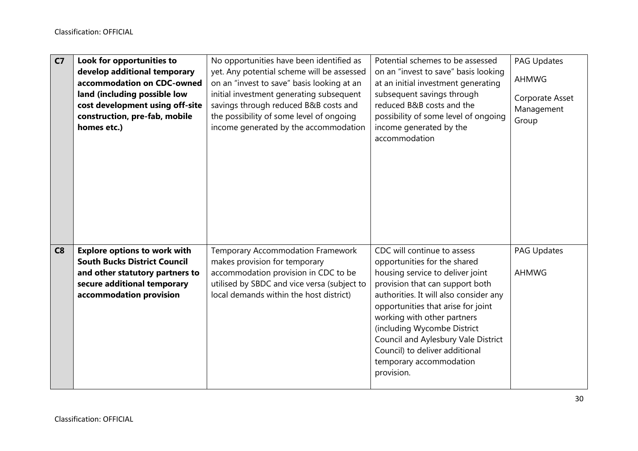| C <sub>7</sub> | Look for opportunities to<br>develop additional temporary<br>accommodation on CDC-owned<br>land (including possible low<br>cost development using off-site<br>construction, pre-fab, mobile<br>homes etc.) | No opportunities have been identified as<br>yet. Any potential scheme will be assessed<br>on an "invest to save" basis looking at an<br>initial investment generating subsequent<br>savings through reduced B&B costs and<br>the possibility of some level of ongoing<br>income generated by the accommodation | Potential schemes to be assessed<br>on an "invest to save" basis looking<br>at an initial investment generating<br>subsequent savings through<br>reduced B&B costs and the<br>possibility of some level of ongoing<br>income generated by the<br>accommodation                                                                                                                                     | <b>PAG Updates</b><br><b>AHMWG</b><br>Corporate Asset<br>Management<br>Group |
|----------------|------------------------------------------------------------------------------------------------------------------------------------------------------------------------------------------------------------|----------------------------------------------------------------------------------------------------------------------------------------------------------------------------------------------------------------------------------------------------------------------------------------------------------------|----------------------------------------------------------------------------------------------------------------------------------------------------------------------------------------------------------------------------------------------------------------------------------------------------------------------------------------------------------------------------------------------------|------------------------------------------------------------------------------|
| C8             | <b>Explore options to work with</b><br><b>South Bucks District Council</b><br>and other statutory partners to<br>secure additional temporary<br>accommodation provision                                    | <b>Temporary Accommodation Framework</b><br>makes provision for temporary<br>accommodation provision in CDC to be<br>utilised by SBDC and vice versa (subject to<br>local demands within the host district)                                                                                                    | CDC will continue to assess<br>opportunities for the shared<br>housing service to deliver joint<br>provision that can support both<br>authorities. It will also consider any<br>opportunities that arise for joint<br>working with other partners<br>(including Wycombe District<br>Council and Aylesbury Vale District<br>Council) to deliver additional<br>temporary accommodation<br>provision. | PAG Updates<br><b>AHMWG</b>                                                  |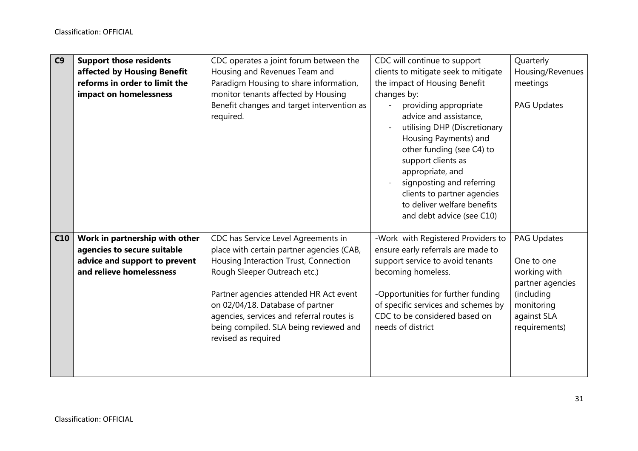| C9 | <b>Support those residents</b>        | CDC operates a joint forum between the                                                                                                                                                   | CDC will continue to support                                                                                                                                                                                                                                                                            | Quarterly                                                                    |
|----|---------------------------------------|------------------------------------------------------------------------------------------------------------------------------------------------------------------------------------------|---------------------------------------------------------------------------------------------------------------------------------------------------------------------------------------------------------------------------------------------------------------------------------------------------------|------------------------------------------------------------------------------|
|    | affected by Housing Benefit           | Housing and Revenues Team and                                                                                                                                                            | clients to mitigate seek to mitigate                                                                                                                                                                                                                                                                    | Housing/Revenues                                                             |
|    | reforms in order to limit the         | Paradigm Housing to share information,                                                                                                                                                   | the impact of Housing Benefit                                                                                                                                                                                                                                                                           | meetings                                                                     |
|    | impact on homelessness                | monitor tenants affected by Housing                                                                                                                                                      | changes by:                                                                                                                                                                                                                                                                                             |                                                                              |
|    |                                       | Benefit changes and target intervention as<br>required.                                                                                                                                  | providing appropriate<br>advice and assistance,<br>utilising DHP (Discretionary<br>Housing Payments) and<br>other funding (see C4) to<br>support clients as<br>appropriate, and<br>signposting and referring<br>clients to partner agencies<br>to deliver welfare benefits<br>and debt advice (see C10) | PAG Updates                                                                  |
|    | Work in partnership with other<br>C10 | CDC has Service Level Agreements in                                                                                                                                                      | -Work with Registered Providers to                                                                                                                                                                                                                                                                      | PAG Updates                                                                  |
|    | agencies to secure suitable           | place with certain partner agencies (CAB,                                                                                                                                                | ensure early referrals are made to                                                                                                                                                                                                                                                                      |                                                                              |
|    | advice and support to prevent         | Housing Interaction Trust, Connection                                                                                                                                                    | support service to avoid tenants                                                                                                                                                                                                                                                                        | One to one                                                                   |
|    | and relieve homelessness              | Rough Sleeper Outreach etc.)                                                                                                                                                             | becoming homeless.                                                                                                                                                                                                                                                                                      | working with                                                                 |
|    |                                       | Partner agencies attended HR Act event<br>on 02/04/18. Database of partner<br>agencies, services and referral routes is<br>being compiled. SLA being reviewed and<br>revised as required | -Opportunities for further funding<br>of specific services and schemes by<br>CDC to be considered based on<br>needs of district                                                                                                                                                                         | partner agencies<br>(including<br>monitoring<br>against SLA<br>requirements) |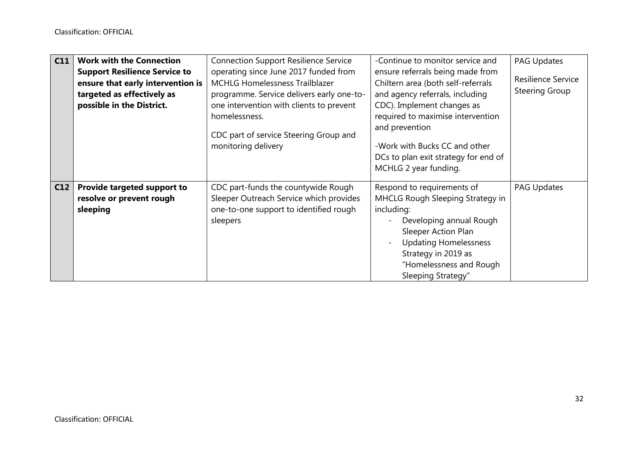| C11 | <b>Work with the Connection</b><br><b>Support Resilience Service to</b><br>ensure that early intervention is<br>targeted as effectively as<br>possible in the District. | <b>Connection Support Resilience Service</b><br>operating since June 2017 funded from<br><b>MCHLG Homelessness Trailblazer</b><br>programme. Service delivers early one-to-<br>one intervention with clients to prevent<br>homelessness.<br>CDC part of service Steering Group and<br>monitoring delivery | -Continue to monitor service and<br>ensure referrals being made from<br>Chiltern area (both self-referrals<br>and agency referrals, including<br>CDC). Implement changes as<br>required to maximise intervention<br>and prevention<br>-Work with Bucks CC and other<br>DCs to plan exit strategy for end of<br>MCHLG 2 year funding. | <b>PAG Updates</b><br><b>Resilience Service</b><br><b>Steering Group</b> |
|-----|-------------------------------------------------------------------------------------------------------------------------------------------------------------------------|-----------------------------------------------------------------------------------------------------------------------------------------------------------------------------------------------------------------------------------------------------------------------------------------------------------|--------------------------------------------------------------------------------------------------------------------------------------------------------------------------------------------------------------------------------------------------------------------------------------------------------------------------------------|--------------------------------------------------------------------------|
| C12 | <b>Provide targeted support to</b><br>resolve or prevent rough<br>sleeping                                                                                              | CDC part-funds the countywide Rough<br>Sleeper Outreach Service which provides<br>one-to-one support to identified rough<br>sleepers                                                                                                                                                                      | Respond to requirements of<br>MHCLG Rough Sleeping Strategy in<br>including:<br>Developing annual Rough<br>Sleeper Action Plan<br><b>Updating Homelessness</b><br>Strategy in 2019 as<br>"Homelessness and Rough<br>Sleeping Strategy"                                                                                               | <b>PAG Updates</b>                                                       |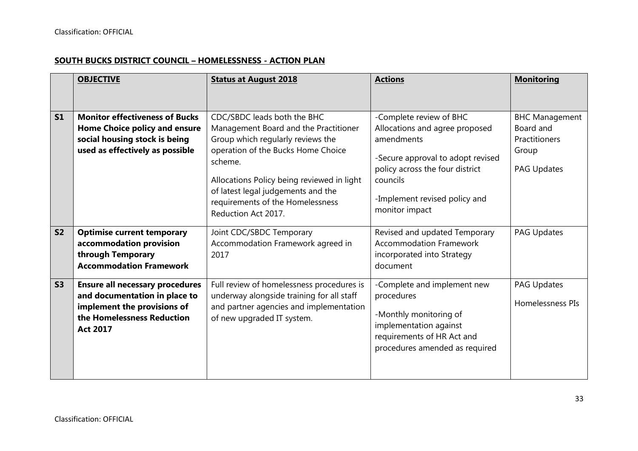#### **SOUTH BUCKS DISTRICT COUNCIL – HOMELESSNESS - ACTION PLAN**

|                | <b>OBJECTIVE</b>                                                                                                                                        | <b>Status at August 2018</b>                                                                                                                                                                                                                                                                              | <b>Actions</b>                                                                                                                                                                                                 | <b>Monitoring</b>                                                           |
|----------------|---------------------------------------------------------------------------------------------------------------------------------------------------------|-----------------------------------------------------------------------------------------------------------------------------------------------------------------------------------------------------------------------------------------------------------------------------------------------------------|----------------------------------------------------------------------------------------------------------------------------------------------------------------------------------------------------------------|-----------------------------------------------------------------------------|
| <b>S1</b>      | <b>Monitor effectiveness of Bucks</b><br><b>Home Choice policy and ensure</b><br>social housing stock is being<br>used as effectively as possible       | CDC/SBDC leads both the BHC<br>Management Board and the Practitioner<br>Group which regularly reviews the<br>operation of the Bucks Home Choice<br>scheme.<br>Allocations Policy being reviewed in light<br>of latest legal judgements and the<br>requirements of the Homelessness<br>Reduction Act 2017. | -Complete review of BHC<br>Allocations and agree proposed<br>amendments<br>-Secure approval to adopt revised<br>policy across the four district<br>councils<br>-Implement revised policy and<br>monitor impact | <b>BHC Management</b><br>Board and<br>Practitioners<br>Group<br>PAG Updates |
| S <sub>2</sub> | <b>Optimise current temporary</b><br>accommodation provision<br>through Temporary<br><b>Accommodation Framework</b>                                     | Joint CDC/SBDC Temporary<br>Accommodation Framework agreed in<br>2017                                                                                                                                                                                                                                     | Revised and updated Temporary<br><b>Accommodation Framework</b><br>incorporated into Strategy<br>document                                                                                                      | <b>PAG Updates</b>                                                          |
| <b>S3</b>      | <b>Ensure all necessary procedures</b><br>and documentation in place to<br>implement the provisions of<br>the Homelessness Reduction<br><b>Act 2017</b> | Full review of homelessness procedures is<br>underway alongside training for all staff<br>and partner agencies and implementation<br>of new upgraded IT system.                                                                                                                                           | -Complete and implement new<br>procedures<br>-Monthly monitoring of<br>implementation against<br>requirements of HR Act and<br>procedures amended as required                                                  | PAG Updates<br>Homelessness PIs                                             |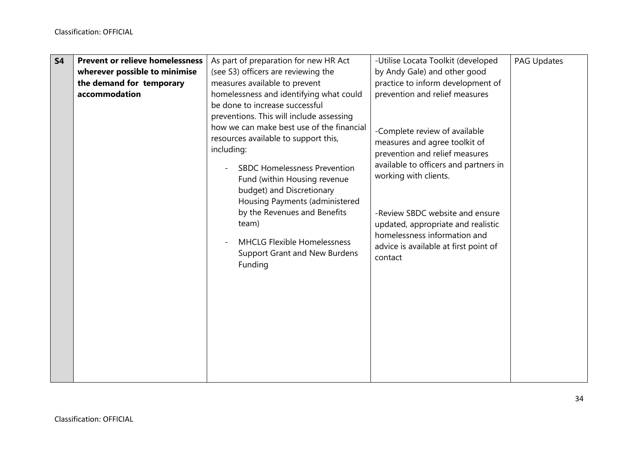| <b>Prevent or relieve homelessness</b><br><b>S4</b><br>As part of preparation for new HR Act<br>-Utilise Locata Toolkit (developed<br><b>PAG Updates</b><br>wherever possible to minimise<br>(see S3) officers are reviewing the<br>by Andy Gale) and other good<br>measures available to prevent<br>practice to inform development of<br>the demand for temporary<br>accommodation<br>homelessness and identifying what could<br>prevention and relief measures<br>be done to increase successful<br>preventions. This will include assessing<br>how we can make best use of the financial<br>-Complete review of available<br>resources available to support this,<br>measures and agree toolkit of<br>including:<br>prevention and relief measures |  |  |  |
|-------------------------------------------------------------------------------------------------------------------------------------------------------------------------------------------------------------------------------------------------------------------------------------------------------------------------------------------------------------------------------------------------------------------------------------------------------------------------------------------------------------------------------------------------------------------------------------------------------------------------------------------------------------------------------------------------------------------------------------------------------|--|--|--|
| available to officers and partners in<br><b>SBDC Homelessness Prevention</b><br>working with clients.<br>Fund (within Housing revenue<br>budget) and Discretionary<br>Housing Payments (administered<br>by the Revenues and Benefits<br>-Review SBDC website and ensure<br>team)<br>updated, appropriate and realistic<br>homelessness information and<br><b>MHCLG Flexible Homelessness</b><br>advice is available at first point of<br>Support Grant and New Burdens<br>contact<br>Funding                                                                                                                                                                                                                                                          |  |  |  |
|                                                                                                                                                                                                                                                                                                                                                                                                                                                                                                                                                                                                                                                                                                                                                       |  |  |  |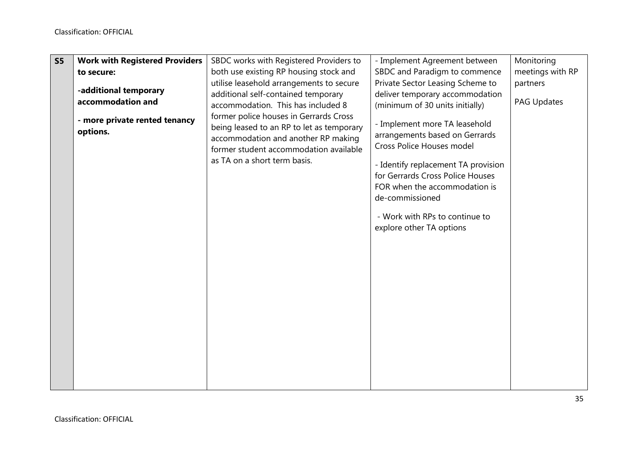| meetings with RP |
|------------------|
| partners         |
|                  |
|                  |
| PAG Updates      |
|                  |
|                  |
|                  |
|                  |
|                  |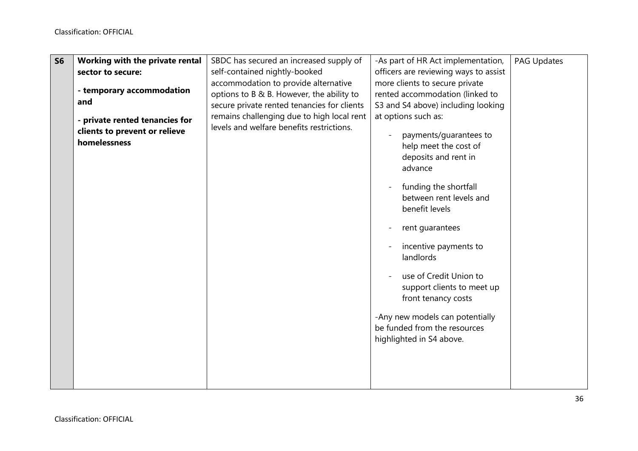| <b>S6</b> | Working with the private rental | SBDC has secured an increased supply of     | -As part of HR Act implementation,    | <b>PAG Updates</b> |
|-----------|---------------------------------|---------------------------------------------|---------------------------------------|--------------------|
|           | sector to secure:               | self-contained nightly-booked               | officers are reviewing ways to assist |                    |
|           |                                 | accommodation to provide alternative        | more clients to secure private        |                    |
|           | - temporary accommodation       | options to B & B. However, the ability to   | rented accommodation (linked to       |                    |
|           | and                             | secure private rented tenancies for clients | S3 and S4 above) including looking    |                    |
|           | - private rented tenancies for  | remains challenging due to high local rent  | at options such as:                   |                    |
|           | clients to prevent or relieve   | levels and welfare benefits restrictions.   |                                       |                    |
|           | homelessness                    |                                             | payments/quarantees to                |                    |
|           |                                 |                                             | help meet the cost of                 |                    |
|           |                                 |                                             | deposits and rent in                  |                    |
|           |                                 |                                             | advance                               |                    |
|           |                                 |                                             | funding the shortfall                 |                    |
|           |                                 |                                             | between rent levels and               |                    |
|           |                                 |                                             | benefit levels                        |                    |
|           |                                 |                                             |                                       |                    |
|           |                                 |                                             | rent guarantees                       |                    |
|           |                                 |                                             | incentive payments to                 |                    |
|           |                                 |                                             | landlords                             |                    |
|           |                                 |                                             |                                       |                    |
|           |                                 |                                             | use of Credit Union to                |                    |
|           |                                 |                                             | support clients to meet up            |                    |
|           |                                 |                                             | front tenancy costs                   |                    |
|           |                                 |                                             | -Any new models can potentially       |                    |
|           |                                 |                                             | be funded from the resources          |                    |
|           |                                 |                                             | highlighted in S4 above.              |                    |
|           |                                 |                                             |                                       |                    |
|           |                                 |                                             |                                       |                    |
|           |                                 |                                             |                                       |                    |
|           |                                 |                                             |                                       |                    |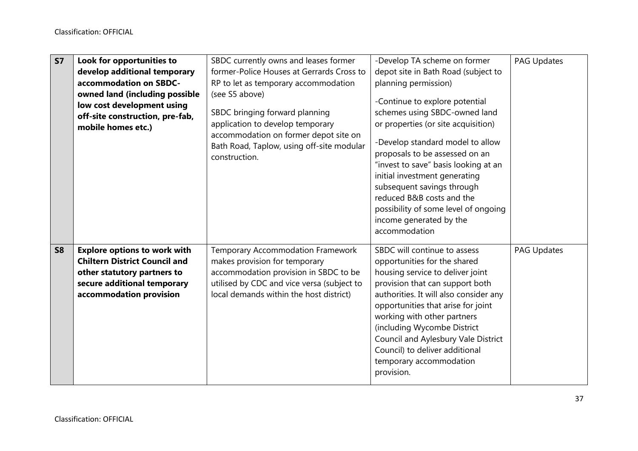| <b>S7</b> | Look for opportunities to<br>develop additional temporary<br>accommodation on SBDC-<br>owned land (including possible<br>low cost development using<br>off-site construction, pre-fab,<br>mobile homes etc.) | SBDC currently owns and leases former<br>former-Police Houses at Gerrards Cross to<br>RP to let as temporary accommodation<br>(see S5 above)<br>SBDC bringing forward planning<br>application to develop temporary<br>accommodation on former depot site on<br>Bath Road, Taplow, using off-site modular<br>construction. | -Develop TA scheme on former<br>depot site in Bath Road (subject to<br>planning permission)<br>-Continue to explore potential<br>schemes using SBDC-owned land<br>or properties (or site acquisition)<br>-Develop standard model to allow<br>proposals to be assessed on an<br>"invest to save" basis looking at an<br>initial investment generating<br>subsequent savings through<br>reduced B&B costs and the<br>possibility of some level of ongoing<br>income generated by the<br>accommodation | <b>PAG Updates</b> |
|-----------|--------------------------------------------------------------------------------------------------------------------------------------------------------------------------------------------------------------|---------------------------------------------------------------------------------------------------------------------------------------------------------------------------------------------------------------------------------------------------------------------------------------------------------------------------|-----------------------------------------------------------------------------------------------------------------------------------------------------------------------------------------------------------------------------------------------------------------------------------------------------------------------------------------------------------------------------------------------------------------------------------------------------------------------------------------------------|--------------------|
| <b>S8</b> | <b>Explore options to work with</b><br><b>Chiltern District Council and</b><br>other statutory partners to<br>secure additional temporary<br>accommodation provision                                         | <b>Temporary Accommodation Framework</b><br>makes provision for temporary<br>accommodation provision in SBDC to be<br>utilised by CDC and vice versa (subject to<br>local demands within the host district)                                                                                                               | SBDC will continue to assess<br>opportunities for the shared<br>housing service to deliver joint<br>provision that can support both<br>authorities. It will also consider any<br>opportunities that arise for joint<br>working with other partners<br>(including Wycombe District<br>Council and Aylesbury Vale District<br>Council) to deliver additional<br>temporary accommodation<br>provision.                                                                                                 | PAG Updates        |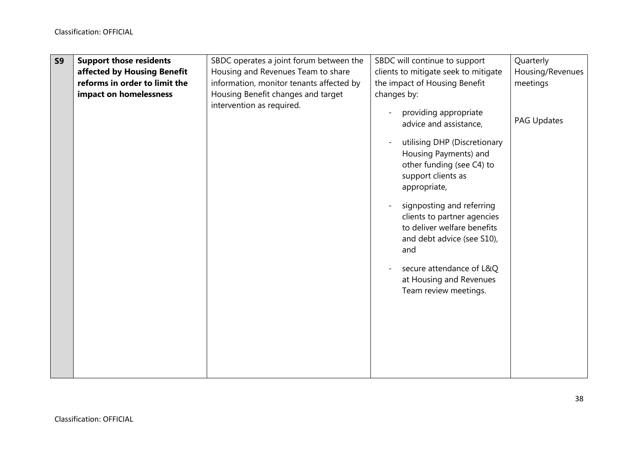| <b>S9</b> | <b>Support those residents</b>                                                         | SBDC operates a joint forum between the                                                                                                           | SBDC will continue to support                                                                                                                                                                                                                                                                                                                                                                                                   | Quarterly                                   |
|-----------|----------------------------------------------------------------------------------------|---------------------------------------------------------------------------------------------------------------------------------------------------|---------------------------------------------------------------------------------------------------------------------------------------------------------------------------------------------------------------------------------------------------------------------------------------------------------------------------------------------------------------------------------------------------------------------------------|---------------------------------------------|
|           |                                                                                        |                                                                                                                                                   |                                                                                                                                                                                                                                                                                                                                                                                                                                 |                                             |
|           |                                                                                        |                                                                                                                                                   |                                                                                                                                                                                                                                                                                                                                                                                                                                 |                                             |
|           |                                                                                        |                                                                                                                                                   |                                                                                                                                                                                                                                                                                                                                                                                                                                 |                                             |
|           | affected by Housing Benefit<br>reforms in order to limit the<br>impact on homelessness | Housing and Revenues Team to share<br>information, monitor tenants affected by<br>Housing Benefit changes and target<br>intervention as required. | clients to mitigate seek to mitigate<br>the impact of Housing Benefit<br>changes by:<br>providing appropriate<br>advice and assistance,<br>utilising DHP (Discretionary<br>Housing Payments) and<br>other funding (see C4) to<br>support clients as<br>appropriate,<br>signposting and referring<br>clients to partner agencies<br>to deliver welfare benefits<br>and debt advice (see S10),<br>and<br>secure attendance of L&Q | Housing/Revenues<br>meetings<br>PAG Updates |
|           |                                                                                        |                                                                                                                                                   | at Housing and Revenues<br>Team review meetings.                                                                                                                                                                                                                                                                                                                                                                                |                                             |
|           |                                                                                        |                                                                                                                                                   |                                                                                                                                                                                                                                                                                                                                                                                                                                 |                                             |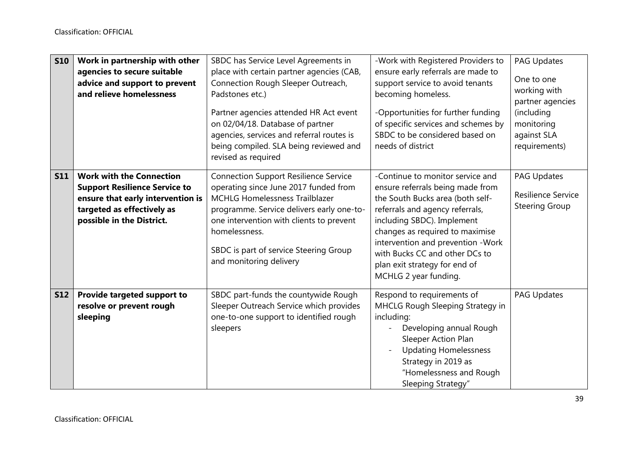| <b>S10</b> | Work in partnership with other<br>agencies to secure suitable<br>advice and support to prevent<br>and relieve homelessness                                              | SBDC has Service Level Agreements in<br>place with certain partner agencies (CAB,<br>Connection Rough Sleeper Outreach,<br>Padstones etc.)<br>Partner agencies attended HR Act event<br>on 02/04/18. Database of partner<br>agencies, services and referral routes is<br>being compiled. SLA being reviewed and<br>revised as required | -Work with Registered Providers to<br>ensure early referrals are made to<br>support service to avoid tenants<br>becoming homeless.<br>-Opportunities for further funding<br>of specific services and schemes by<br>SBDC to be considered based on<br>needs of district                                                                         | PAG Updates<br>One to one<br>working with<br>partner agencies<br>(including<br>monitoring<br>against SLA<br>requirements) |
|------------|-------------------------------------------------------------------------------------------------------------------------------------------------------------------------|----------------------------------------------------------------------------------------------------------------------------------------------------------------------------------------------------------------------------------------------------------------------------------------------------------------------------------------|------------------------------------------------------------------------------------------------------------------------------------------------------------------------------------------------------------------------------------------------------------------------------------------------------------------------------------------------|---------------------------------------------------------------------------------------------------------------------------|
| <b>S11</b> | <b>Work with the Connection</b><br><b>Support Resilience Service to</b><br>ensure that early intervention is<br>targeted as effectively as<br>possible in the District. | <b>Connection Support Resilience Service</b><br>operating since June 2017 funded from<br><b>MCHLG Homelessness Trailblazer</b><br>programme. Service delivers early one-to-<br>one intervention with clients to prevent<br>homelessness.<br>SBDC is part of service Steering Group<br>and monitoring delivery                          | -Continue to monitor service and<br>ensure referrals being made from<br>the South Bucks area (both self-<br>referrals and agency referrals,<br>including SBDC). Implement<br>changes as required to maximise<br>intervention and prevention - Work<br>with Bucks CC and other DCs to<br>plan exit strategy for end of<br>MCHLG 2 year funding. | <b>PAG Updates</b><br><b>Resilience Service</b><br><b>Steering Group</b>                                                  |
| <b>S12</b> | Provide targeted support to<br>resolve or prevent rough<br>sleeping                                                                                                     | SBDC part-funds the countywide Rough<br>Sleeper Outreach Service which provides<br>one-to-one support to identified rough<br>sleepers                                                                                                                                                                                                  | Respond to requirements of<br>MHCLG Rough Sleeping Strategy in<br>including:<br>Developing annual Rough<br>Sleeper Action Plan<br><b>Updating Homelessness</b><br>Strategy in 2019 as<br>"Homelessness and Rough<br>Sleeping Strategy"                                                                                                         | <b>PAG Updates</b>                                                                                                        |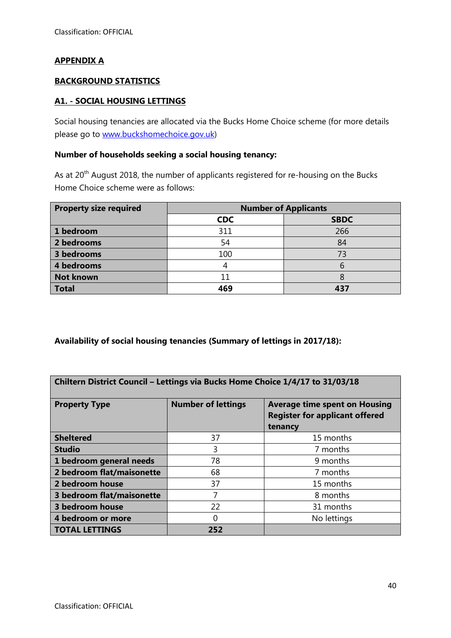#### **APPENDIX A**

#### **BACKGROUND STATISTICS**

#### **A1. - SOCIAL HOUSING LETTINGS**

Social housing tenancies are allocated via the Bucks Home Choice scheme (for more details please go to [www.buckshomechoice.gov.uk\)](http://www.buckshomechoice.gov.uk/)

#### **Number of households seeking a social housing tenancy:**

As at 20<sup>th</sup> August 2018, the number of applicants registered for re-housing on the Bucks Home Choice scheme were as follows:

| <b>Property size required</b> | <b>Number of Applicants</b> |             |  |  |  |
|-------------------------------|-----------------------------|-------------|--|--|--|
|                               | <b>CDC</b>                  | <b>SBDC</b> |  |  |  |
| 1 bedroom                     | 311                         | 266         |  |  |  |
| 2 bedrooms                    | 54                          | 84          |  |  |  |
| 3 bedrooms                    | 100                         | 73          |  |  |  |
| 4 bedrooms                    |                             | b           |  |  |  |
| <b>Not known</b>              | 11                          | 8           |  |  |  |
| <b>Total</b>                  | 469                         | 437         |  |  |  |

#### **Availability of social housing tenancies (Summary of lettings in 2017/18):**

| Chiltern District Council - Lettings via Bucks Home Choice 1/4/17 to 31/03/18 |                           |                                                                                          |  |  |  |  |
|-------------------------------------------------------------------------------|---------------------------|------------------------------------------------------------------------------------------|--|--|--|--|
| <b>Property Type</b>                                                          | <b>Number of lettings</b> | <b>Average time spent on Housing</b><br><b>Register for applicant offered</b><br>tenancy |  |  |  |  |
| <b>Sheltered</b>                                                              | 37                        | 15 months                                                                                |  |  |  |  |
| <b>Studio</b>                                                                 | 3                         | 7 months                                                                                 |  |  |  |  |
| 1 bedroom general needs                                                       | 78                        | 9 months                                                                                 |  |  |  |  |
| 2 bedroom flat/maisonette                                                     | 68                        | 7 months                                                                                 |  |  |  |  |
| 2 bedroom house                                                               | 37                        | 15 months                                                                                |  |  |  |  |
| 3 bedroom flat/maisonette                                                     | 7                         | 8 months                                                                                 |  |  |  |  |
| 3 bedroom house                                                               | 22                        | 31 months                                                                                |  |  |  |  |
| 4 bedroom or more                                                             | 0                         | No lettings                                                                              |  |  |  |  |
| <b>TOTAL LETTINGS</b>                                                         | 252                       |                                                                                          |  |  |  |  |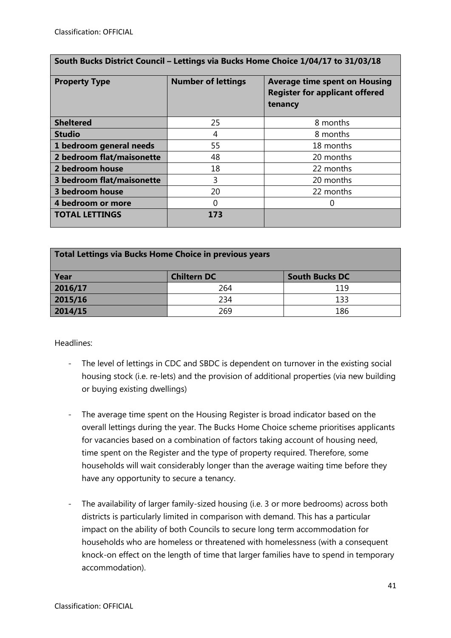| <b>Property Type</b>      | <b>Number of lettings</b> | <b>Average time spent on Housing</b><br><b>Register for applicant offered</b><br>tenancy |  |  |  |  |  |
|---------------------------|---------------------------|------------------------------------------------------------------------------------------|--|--|--|--|--|
| <b>Sheltered</b>          | 25                        | 8 months                                                                                 |  |  |  |  |  |
| <b>Studio</b>             | 4                         | 8 months                                                                                 |  |  |  |  |  |
| 1 bedroom general needs   | 55                        | 18 months                                                                                |  |  |  |  |  |
| 2 bedroom flat/maisonette | 48                        | 20 months                                                                                |  |  |  |  |  |
| 2 bedroom house           | 18                        | 22 months                                                                                |  |  |  |  |  |
| 3 bedroom flat/maisonette | 3                         | 20 months                                                                                |  |  |  |  |  |
| 3 bedroom house           | 20                        | 22 months                                                                                |  |  |  |  |  |
| 4 bedroom or more         | 0                         | 0                                                                                        |  |  |  |  |  |
| <b>TOTAL LETTINGS</b>     | 173                       |                                                                                          |  |  |  |  |  |

**South Bucks District Council – Lettings via Bucks Home Choice 1/04/17 to 31/03/18**

| <b>Total Lettings via Bucks Home Choice in previous years</b> |                    |                       |  |  |  |  |
|---------------------------------------------------------------|--------------------|-----------------------|--|--|--|--|
| Year                                                          | <b>Chiltern DC</b> | <b>South Bucks DC</b> |  |  |  |  |
| 2016/17                                                       | 264                | 119                   |  |  |  |  |
| 2015/16                                                       | 234                | 133                   |  |  |  |  |
| 2014/15                                                       | 269                | 186                   |  |  |  |  |

Headlines:

- The level of lettings in CDC and SBDC is dependent on turnover in the existing social housing stock (i.e. re-lets) and the provision of additional properties (via new building or buying existing dwellings)
- The average time spent on the Housing Register is broad indicator based on the overall lettings during the year. The Bucks Home Choice scheme prioritises applicants for vacancies based on a combination of factors taking account of housing need, time spent on the Register and the type of property required. Therefore, some households will wait considerably longer than the average waiting time before they have any opportunity to secure a tenancy.
- The availability of larger family-sized housing (i.e. 3 or more bedrooms) across both districts is particularly limited in comparison with demand. This has a particular impact on the ability of both Councils to secure long term accommodation for households who are homeless or threatened with homelessness (with a consequent knock-on effect on the length of time that larger families have to spend in temporary accommodation).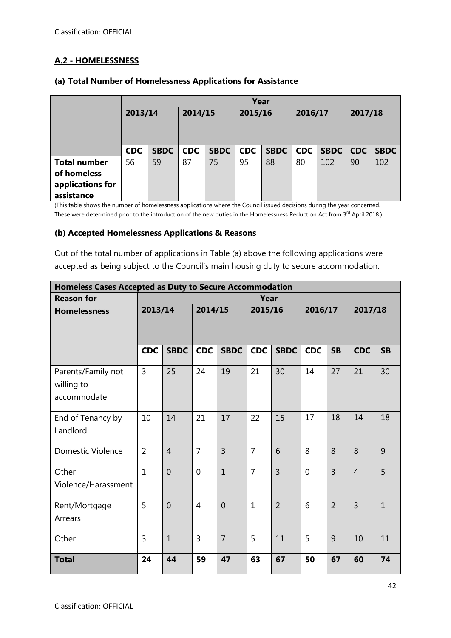#### **A.2 - HOMELESSNESS**

|                     | Year       |             |            |             |            |             |            |             |            |             |
|---------------------|------------|-------------|------------|-------------|------------|-------------|------------|-------------|------------|-------------|
|                     | 2013/14    |             | 2014/15    |             | 2015/16    |             | 2016/17    |             | 2017/18    |             |
|                     |            |             |            |             |            |             |            |             |            |             |
|                     |            |             |            |             |            |             |            |             |            |             |
|                     | <b>CDC</b> | <b>SBDC</b> | <b>CDC</b> | <b>SBDC</b> | <b>CDC</b> | <b>SBDC</b> | <b>CDC</b> | <b>SBDC</b> | <b>CDC</b> | <b>SBDC</b> |
| <b>Total number</b> | 56         | 59          | 87         | 75          | 95         | 88          | 80         | 102         | 90         | 102         |
| of homeless         |            |             |            |             |            |             |            |             |            |             |
| applications for    |            |             |            |             |            |             |            |             |            |             |
| assistance          |            |             |            |             |            |             |            |             |            |             |

#### **(a) Total Number of Homelessness Applications for Assistance**

(This table shows the number of homelessness applications where the Council issued decisions during the year concerned. These were determined prior to the introduction of the new duties in the Homelessness Reduction Act from 3<sup>rd</sup> April 2018.)

#### **(b) Accepted Homelessness Applications & Reasons**

Out of the total number of applications in Table (a) above the following applications were accepted as being subject to the Council's main housing duty to secure accommodation.

| <b>Homeless Cases Accepted as Duty to Secure Accommodation</b> |                    |                |                |                |                |                |                |                |                |              |
|----------------------------------------------------------------|--------------------|----------------|----------------|----------------|----------------|----------------|----------------|----------------|----------------|--------------|
| <b>Reason for</b>                                              | Year               |                |                |                |                |                |                |                |                |              |
| <b>Homelessness</b>                                            | 2014/15<br>2013/14 |                | 2015/16        |                | 2016/17        |                | 2017/18        |                |                |              |
|                                                                | <b>CDC</b>         | <b>SBDC</b>    | <b>CDC</b>     | <b>SBDC</b>    | <b>CDC</b>     | <b>SBDC</b>    | <b>CDC</b>     | <b>SB</b>      | <b>CDC</b>     | <b>SB</b>    |
| Parents/Family not<br>willing to<br>accommodate                | $\overline{3}$     | 25             | 24             | 19             | 21             | 30             | 14             | 27             | 21             | 30           |
| End of Tenancy by<br>Landlord                                  | 10                 | 14             | 21             | 17             | 22             | 15             | 17             | 18             | 14             | 18           |
| <b>Domestic Violence</b>                                       | $\overline{2}$     | $\overline{4}$ | $\overline{7}$ | $\overline{3}$ | $\overline{7}$ | 6              | 8              | 8              | 8              | 9            |
| Other<br>Violence/Harassment                                   | $\mathbf{1}$       | $\overline{0}$ | $\overline{0}$ | $\mathbf{1}$   | $\overline{7}$ | $\overline{3}$ | $\overline{0}$ | $\overline{3}$ | $\overline{4}$ | 5            |
| Rent/Mortgage<br>Arrears                                       | 5                  | $\overline{0}$ | $\overline{4}$ | $\overline{0}$ | $\mathbf{1}$   | $\overline{2}$ | 6              | $\overline{2}$ | $\overline{3}$ | $\mathbf{1}$ |
| Other                                                          | $\overline{3}$     | $\mathbf{1}$   | $\overline{3}$ | $\overline{7}$ | 5              | 11             | 5              | 9              | 10             | 11           |
| <b>Total</b>                                                   | 24                 | 44             | 59             | 47             | 63             | 67             | 50             | 67             | 60             | 74           |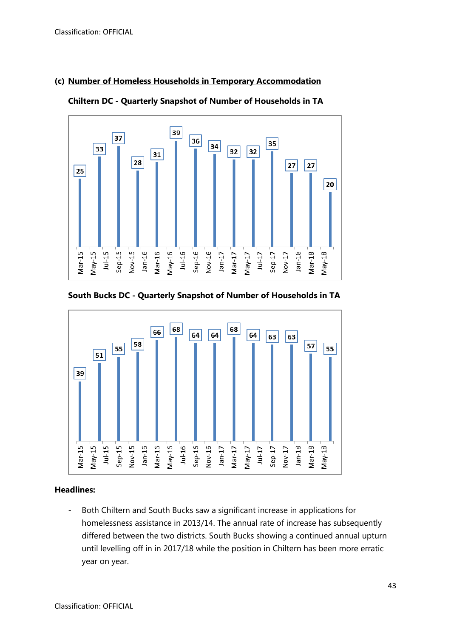#### **(c) Number of Homeless Households in Temporary Accommodation**



**Chiltern DC - Quarterly Snapshot of Number of Households in TA**

**South Bucks DC - Quarterly Snapshot of Number of Households in TA**



#### **Headlines:**

- Both Chiltern and South Bucks saw a significant increase in applications for homelessness assistance in 2013/14. The annual rate of increase has subsequently differed between the two districts. South Bucks showing a continued annual upturn until levelling off in in 2017/18 while the position in Chiltern has been more erratic year on year.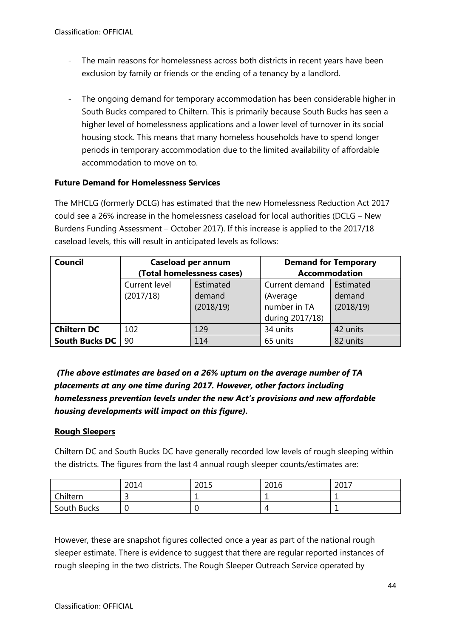- The main reasons for homelessness across both districts in recent years have been exclusion by family or friends or the ending of a tenancy by a landlord.
- The ongoing demand for temporary accommodation has been considerable higher in South Bucks compared to Chiltern. This is primarily because South Bucks has seen a higher level of homelessness applications and a lower level of turnover in its social housing stock. This means that many homeless households have to spend longer periods in temporary accommodation due to the limited availability of affordable accommodation to move on to.

#### **Future Demand for Homelessness Services**

The MHCLG (formerly DCLG) has estimated that the new Homelessness Reduction Act 2017 could see a 26% increase in the homelessness caseload for local authorities (DCLG – New Burdens Funding Assessment – October 2017). If this increase is applied to the 2017/18 caseload levels, this will result in anticipated levels as follows:

| Council<br><b>Caseload per annum</b> |                            |                            | <b>Demand for Temporary</b> |           |  |
|--------------------------------------|----------------------------|----------------------------|-----------------------------|-----------|--|
|                                      |                            | (Total homelessness cases) | <b>Accommodation</b>        |           |  |
|                                      | Estimated<br>Current level |                            | Current demand              | Estimated |  |
| (2017/18)                            |                            | demand                     | (Average                    | demand    |  |
|                                      |                            | (2018/19)                  | number in TA                | (2018/19) |  |
|                                      |                            |                            | during 2017/18)             |           |  |
| <b>Chiltern DC</b>                   | 102<br>129                 |                            | 34 units                    | 42 units  |  |
| <b>South Bucks DC</b>                | 90<br>114                  |                            | 65 units                    | 82 units  |  |

*(The above estimates are based on a 26% upturn on the average number of TA placements at any one time during 2017. However, other factors including homelessness prevention levels under the new Act's provisions and new affordable housing developments will impact on this figure).*

#### **Rough Sleepers**

Chiltern DC and South Bucks DC have generally recorded low levels of rough sleeping within the districts. The figures from the last 4 annual rough sleeper counts/estimates are:

|             | 2014 | 2015 | 2016 | 2017<br>∵∠∪⊥. |
|-------------|------|------|------|---------------|
| Chiltern    |      |      | -    | -             |
| South Bucks |      |      |      |               |

However, these are snapshot figures collected once a year as part of the national rough sleeper estimate. There is evidence to suggest that there are regular reported instances of rough sleeping in the two districts. The Rough Sleeper Outreach Service operated by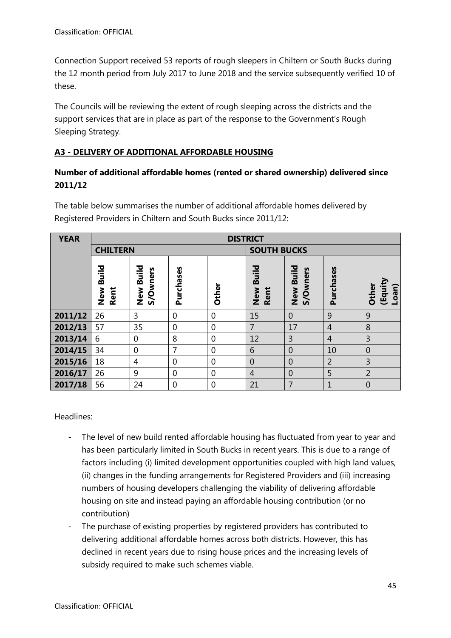Connection Support received 53 reports of rough sleepers in Chiltern or South Bucks during the 12 month period from July 2017 to June 2018 and the service subsequently verified 10 of these.

The Councils will be reviewing the extent of rough sleeping across the districts and the support services that are in place as part of the response to the Government's Rough Sleeping Strategy.

#### **A3 - DELIVERY OF ADDITIONAL AFFORDABLE HOUSING**

#### **Number of additional affordable homes (rented or shared ownership) delivered since 2011/12**

The table below summarises the number of additional affordable homes delivered by Registered Providers in Chiltern and South Bucks since 2011/12:

| <b>YEAR</b> | <b>DISTRICT</b>                         |                                 |                |                    |                             |                                 |                  |                           |
|-------------|-----------------------------------------|---------------------------------|----------------|--------------------|-----------------------------|---------------------------------|------------------|---------------------------|
|             | <b>CHILTERN</b>                         |                                 |                | <b>SOUTH BUCKS</b> |                             |                                 |                  |                           |
|             | <b>Build</b><br>New<br>Z<br><b>Rent</b> | Build<br>S/Owners<br><b>New</b> | Purchases      | Other              | <b>Build</b><br>New<br>Rent | <b>Build</b><br>S/Owners<br>New | <b>Purchases</b> | (Equity<br>Other<br>Loan) |
| 2011/12     | 26                                      | 3                               | $\mathbf{0}$   | $\mathbf 0$        | 15                          | $\theta$                        | 9                | 9                         |
| 2012/13     | 57                                      | 35                              | $\mathbf 0$    | $\mathbf 0$        | $\overline{7}$              | 17                              | $\overline{4}$   | 8                         |
| 2013/14     | 6                                       | $\mathbf 0$                     | 8              | $\mathbf 0$        | 12                          | 3                               | $\overline{4}$   | 3                         |
| 2014/15     | 34                                      | $\mathbf 0$                     | 7              | $\overline{0}$     | 6                           | $\overline{0}$                  | 10               | $\overline{0}$            |
| 2015/16     | 18                                      | 4                               | $\overline{0}$ | $\overline{0}$     | $\overline{0}$              | $\overline{0}$                  | $\overline{2}$   | 3                         |
| 2016/17     | 26                                      | 9                               | $\mathbf 0$    | $\mathbf 0$        | $\overline{4}$              | $\mathbf{0}$                    | 5                | $\overline{2}$            |
| 2017/18     | 56                                      | 24                              | $\mathbf 0$    | $\mathbf 0$        | 21                          | 7                               | $\mathbf{1}$     | $\theta$                  |

Headlines:

- The level of new build rented affordable housing has fluctuated from year to year and has been particularly limited in South Bucks in recent years. This is due to a range of factors including (i) limited development opportunities coupled with high land values, (ii) changes in the funding arrangements for Registered Providers and (iii) increasing numbers of housing developers challenging the viability of delivering affordable housing on site and instead paying an affordable housing contribution (or no contribution)
- The purchase of existing properties by registered providers has contributed to delivering additional affordable homes across both districts. However, this has declined in recent years due to rising house prices and the increasing levels of subsidy required to make such schemes viable.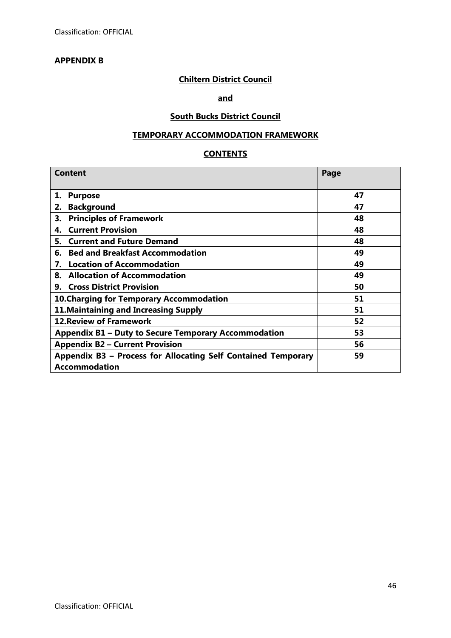#### **APPENDIX B**

#### **Chiltern District Council**

#### **and**

#### **South Bucks District Council**

#### **TEMPORARY ACCOMMODATION FRAMEWORK**

#### **CONTENTS**

| Content                                                                               | Page |
|---------------------------------------------------------------------------------------|------|
| <b>Purpose</b><br>1.                                                                  | 47   |
| <b>Background</b><br>2.                                                               | 47   |
| <b>Principles of Framework</b><br>3.                                                  | 48   |
| <b>Current Provision</b><br>4.                                                        | 48   |
| <b>Current and Future Demand</b><br>5.                                                | 48   |
| <b>Bed and Breakfast Accommodation</b><br>6.                                          | 49   |
| 7. Location of Accommodation                                                          | 49   |
| 8. Allocation of Accommodation                                                        | 49   |
| <b>9. Cross District Provision</b>                                                    | 50   |
| <b>10. Charging for Temporary Accommodation</b>                                       | 51   |
| 11. Maintaining and Increasing Supply                                                 | 51   |
| <b>12. Review of Framework</b>                                                        | 52   |
| <b>Appendix B1 - Duty to Secure Temporary Accommodation</b>                           | 53   |
| <b>Appendix B2 - Current Provision</b>                                                | 56   |
| Appendix B3 - Process for Allocating Self Contained Temporary<br><b>Accommodation</b> | 59   |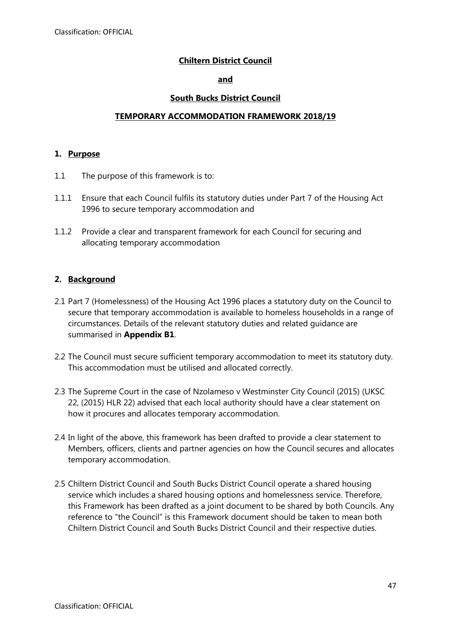#### **Chiltern District Council**

#### **and**

#### **South Bucks District Council**

#### **TEMPORARY ACCOMMODATION FRAMEWORK 2018/19**

#### **1. Purpose**

- 1.1 The purpose of this framework is to:
- 1.1.1 Ensure that each Council fulfils its statutory duties under Part 7 of the Housing Act 1996 to secure temporary accommodation and
- 1.1.2 Provide a clear and transparent framework for each Council for securing and allocating temporary accommodation

#### **2. Background**

- 2.1 Part 7 (Homelessness) of the Housing Act 1996 places a statutory duty on the Council to secure that temporary accommodation is available to homeless households in a range of circumstances. Details of the relevant statutory duties and related guidance are summarised in **Appendix B1**.
- 2.2 The Council must secure sufficient temporary accommodation to meet its statutory duty. This accommodation must be utilised and allocated correctly.
- 2.3 The Supreme Court in the case of Nzolameso v Westminster City Council (2015) (UKSC 22, (2015) HLR 22) advised that each local authority should have a clear statement on how it procures and allocates temporary accommodation.
- 2.4 In light of the above, this framework has been drafted to provide a clear statement to Members, officers, clients and partner agencies on how the Council secures and allocates temporary accommodation.
- 2.5 Chiltern District Council and South Bucks District Council operate a shared housing service which includes a shared housing options and homelessness service. Therefore, this Framework has been drafted as a joint document to be shared by both Councils. Any reference to "the Council" is this Framework document should be taken to mean both Chiltern District Council and South Bucks District Council and their respective duties.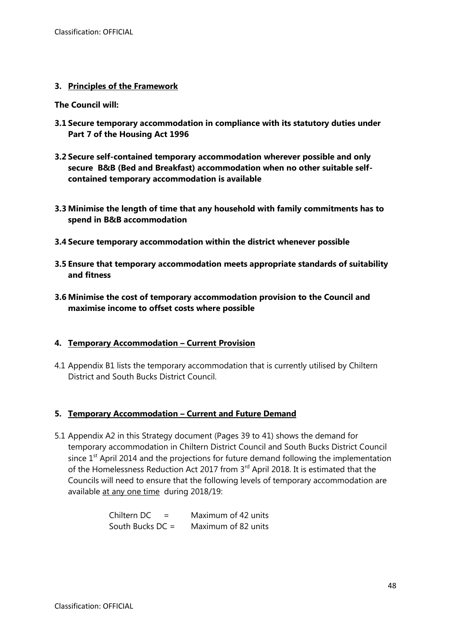#### **3. Principles of the Framework**

**The Council will:**

- **3.1 Secure temporary accommodation in compliance with its statutory duties under Part 7 of the Housing Act 1996**
- **3.2 Secure self-contained temporary accommodation wherever possible and only secure B&B (Bed and Breakfast) accommodation when no other suitable selfcontained temporary accommodation is available**
- **3.3 Minimise the length of time that any household with family commitments has to spend in B&B accommodation**
- **3.4 Secure temporary accommodation within the district whenever possible**
- **3.5 Ensure that temporary accommodation meets appropriate standards of suitability and fitness**
- **3.6 Minimise the cost of temporary accommodation provision to the Council and maximise income to offset costs where possible**

#### **4. Temporary Accommodation – Current Provision**

4.1 Appendix B1 lists the temporary accommodation that is currently utilised by Chiltern District and South Bucks District Council.

#### **5. Temporary Accommodation – Current and Future Demand**

5.1 Appendix A2 in this Strategy document (Pages 39 to 41) shows the demand for temporary accommodation in Chiltern District Council and South Bucks District Council since  $1<sup>st</sup>$  April 2014 and the projections for future demand following the implementation of the Homelessness Reduction Act 2017 from 3<sup>rd</sup> April 2018. It is estimated that the Councils will need to ensure that the following levels of temporary accommodation are available at any one time during 2018/19:

| Chiltern DC        | Maximum of 42 units |
|--------------------|---------------------|
| South Bucks $DC =$ | Maximum of 82 units |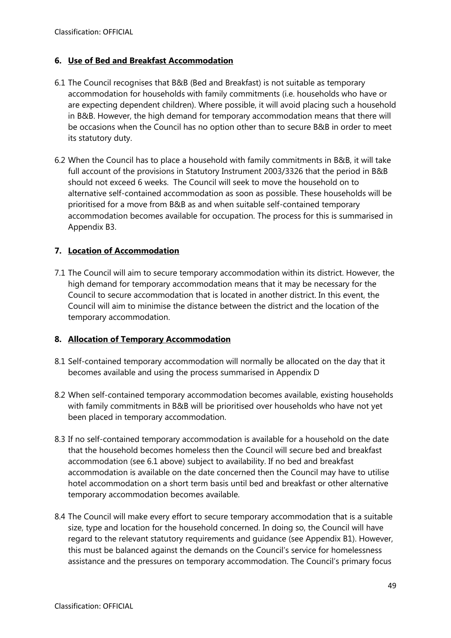#### **6. Use of Bed and Breakfast Accommodation**

- 6.1 The Council recognises that B&B (Bed and Breakfast) is not suitable as temporary accommodation for households with family commitments (i.e. households who have or are expecting dependent children). Where possible, it will avoid placing such a household in B&B. However, the high demand for temporary accommodation means that there will be occasions when the Council has no option other than to secure B&B in order to meet its statutory duty.
- 6.2 When the Council has to place a household with family commitments in B&B, it will take full account of the provisions in Statutory Instrument 2003/3326 that the period in B&B should not exceed 6 weeks. The Council will seek to move the household on to alternative self-contained accommodation as soon as possible. These households will be prioritised for a move from B&B as and when suitable self-contained temporary accommodation becomes available for occupation. The process for this is summarised in Appendix B3.

#### **7. Location of Accommodation**

7.1 The Council will aim to secure temporary accommodation within its district. However, the high demand for temporary accommodation means that it may be necessary for the Council to secure accommodation that is located in another district. In this event, the Council will aim to minimise the distance between the district and the location of the temporary accommodation.

#### **8. Allocation of Temporary Accommodation**

- 8.1 Self-contained temporary accommodation will normally be allocated on the day that it becomes available and using the process summarised in Appendix D
- 8.2 When self-contained temporary accommodation becomes available, existing households with family commitments in B&B will be prioritised over households who have not yet been placed in temporary accommodation.
- 8.3 If no self-contained temporary accommodation is available for a household on the date that the household becomes homeless then the Council will secure bed and breakfast accommodation (see 6.1 above) subject to availability. If no bed and breakfast accommodation is available on the date concerned then the Council may have to utilise hotel accommodation on a short term basis until bed and breakfast or other alternative temporary accommodation becomes available.
- 8.4 The Council will make every effort to secure temporary accommodation that is a suitable size, type and location for the household concerned. In doing so, the Council will have regard to the relevant statutory requirements and guidance (see Appendix B1). However, this must be balanced against the demands on the Council's service for homelessness assistance and the pressures on temporary accommodation. The Council's primary focus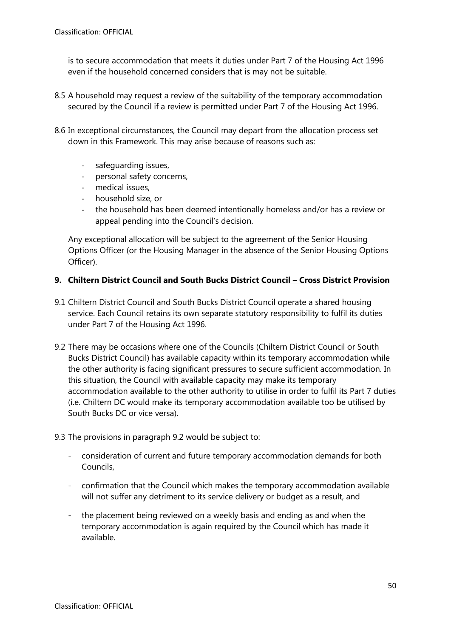is to secure accommodation that meets it duties under Part 7 of the Housing Act 1996 even if the household concerned considers that is may not be suitable.

- 8.5 A household may request a review of the suitability of the temporary accommodation secured by the Council if a review is permitted under Part 7 of the Housing Act 1996.
- 8.6 In exceptional circumstances, the Council may depart from the allocation process set down in this Framework. This may arise because of reasons such as:
	- safeguarding issues,
	- personal safety concerns,
	- medical issues.
	- household size, or
	- the household has been deemed intentionally homeless and/or has a review or appeal pending into the Council's decision.

Any exceptional allocation will be subject to the agreement of the Senior Housing Options Officer (or the Housing Manager in the absence of the Senior Housing Options Officer).

#### **9. Chiltern District Council and South Bucks District Council – Cross District Provision**

- 9.1 Chiltern District Council and South Bucks District Council operate a shared housing service. Each Council retains its own separate statutory responsibility to fulfil its duties under Part 7 of the Housing Act 1996.
- 9.2 There may be occasions where one of the Councils (Chiltern District Council or South Bucks District Council) has available capacity within its temporary accommodation while the other authority is facing significant pressures to secure sufficient accommodation. In this situation, the Council with available capacity may make its temporary accommodation available to the other authority to utilise in order to fulfil its Part 7 duties (i.e. Chiltern DC would make its temporary accommodation available too be utilised by South Bucks DC or vice versa).
- 9.3 The provisions in paragraph 9.2 would be subject to:
	- consideration of current and future temporary accommodation demands for both Councils,
	- confirmation that the Council which makes the temporary accommodation available will not suffer any detriment to its service delivery or budget as a result, and
	- the placement being reviewed on a weekly basis and ending as and when the temporary accommodation is again required by the Council which has made it available.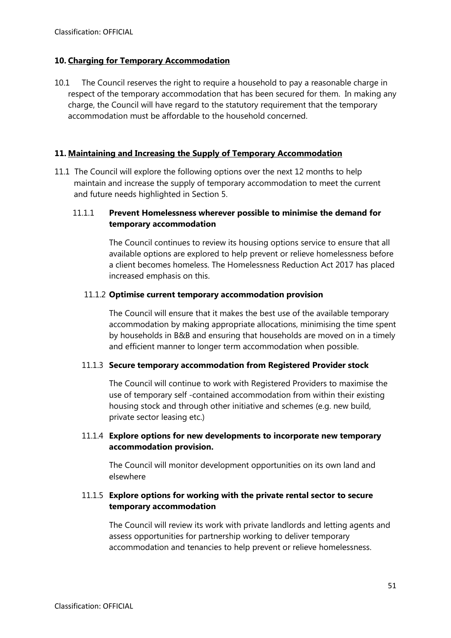#### **10. Charging for Temporary Accommodation**

10.1 The Council reserves the right to require a household to pay a reasonable charge in respect of the temporary accommodation that has been secured for them. In making any charge, the Council will have regard to the statutory requirement that the temporary accommodation must be affordable to the household concerned.

#### **11. Maintaining and Increasing the Supply of Temporary Accommodation**

11.1 The Council will explore the following options over the next 12 months to help maintain and increase the supply of temporary accommodation to meet the current and future needs highlighted in Section 5.

#### 11.1.1 **Prevent Homelessness wherever possible to minimise the demand for temporary accommodation**

The Council continues to review its housing options service to ensure that all available options are explored to help prevent or relieve homelessness before a client becomes homeless. The Homelessness Reduction Act 2017 has placed increased emphasis on this.

#### 11.1.2 **Optimise current temporary accommodation provision**

The Council will ensure that it makes the best use of the available temporary accommodation by making appropriate allocations, minimising the time spent by households in B&B and ensuring that households are moved on in a timely and efficient manner to longer term accommodation when possible.

#### 11.1.3 **Secure temporary accommodation from Registered Provider stock**

The Council will continue to work with Registered Providers to maximise the use of temporary self -contained accommodation from within their existing housing stock and through other initiative and schemes (e.g. new build, private sector leasing etc.)

#### 11.1.4 **Explore options for new developments to incorporate new temporary accommodation provision.**

The Council will monitor development opportunities on its own land and elsewhere

#### 11.1.5 **Explore options for working with the private rental sector to secure temporary accommodation**

The Council will review its work with private landlords and letting agents and assess opportunities for partnership working to deliver temporary accommodation and tenancies to help prevent or relieve homelessness.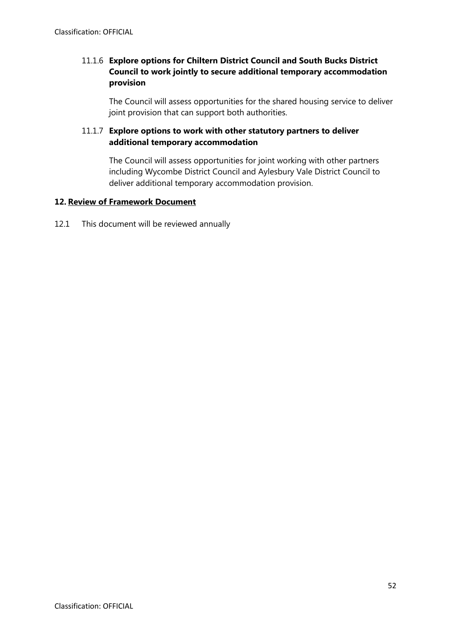#### 11.1.6 **Explore options for Chiltern District Council and South Bucks District Council to work jointly to secure additional temporary accommodation provision**

The Council will assess opportunities for the shared housing service to deliver joint provision that can support both authorities.

#### 11.1.7 **Explore options to work with other statutory partners to deliver additional temporary accommodation**

The Council will assess opportunities for joint working with other partners including Wycombe District Council and Aylesbury Vale District Council to deliver additional temporary accommodation provision.

#### **12. Review of Framework Document**

12.1 This document will be reviewed annually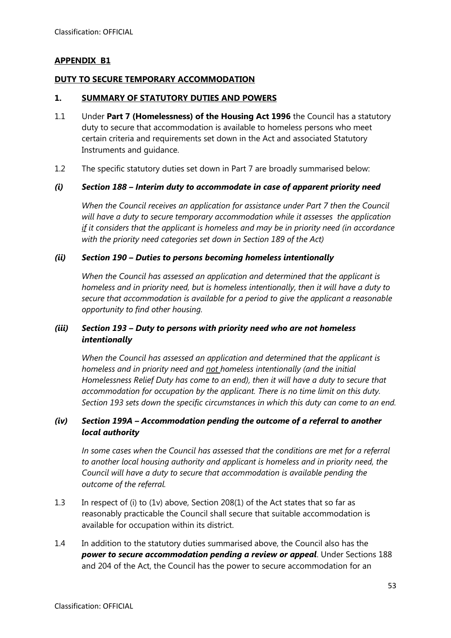#### **APPENDIX B1**

#### **DUTY TO SECURE TEMPORARY ACCOMMODATION**

#### **1. SUMMARY OF STATUTORY DUTIES AND POWERS**

- 1.1 Under **Part 7 (Homelessness) of the Housing Act 1996** the Council has a statutory duty to secure that accommodation is available to homeless persons who meet certain criteria and requirements set down in the Act and associated Statutory Instruments and guidance.
- 1.2 The specific statutory duties set down in Part 7 are broadly summarised below:

#### *(i) Section 188 – Interim duty to accommodate in case of apparent priority need*

*When the Council receives an application for assistance under Part 7 then the Council will have a duty to secure temporary accommodation while it assesses the application if it considers that the applicant is homeless and may be in priority need (in accordance with the priority need categories set down in Section 189 of the Act)*

#### *(ii) Section 190 – Duties to persons becoming homeless intentionally*

*When the Council has assessed an application and determined that the applicant is homeless and in priority need, but is homeless intentionally, then it will have a duty to secure that accommodation is available for a period to give the applicant a reasonable opportunity to find other housing.* 

#### *(iii) Section 193 – Duty to persons with priority need who are not homeless intentionally*

*When the Council has assessed an application and determined that the applicant is homeless and in priority need and not homeless intentionally (and the initial Homelessness Relief Duty has come to an end), then it will have a duty to secure that accommodation for occupation by the applicant. There is no time limit on this duty. Section 193 sets down the specific circumstances in which this duty can come to an end.*

#### *(iv) Section 199A – Accommodation pending the outcome of a referral to another local authority*

*In some cases when the Council has assessed that the conditions are met for a referral to another local housing authority and applicant is homeless and in priority need, the Council will have a duty to secure that accommodation is available pending the outcome of the referral.*

- 1.3 In respect of (i) to (1v) above, Section 208(1) of the Act states that so far as reasonably practicable the Council shall secure that suitable accommodation is available for occupation within its district.
- 1.4 In addition to the statutory duties summarised above, the Council also has the *power to secure accommodation pending a review or appeal*. Under Sections 188 and 204 of the Act, the Council has the power to secure accommodation for an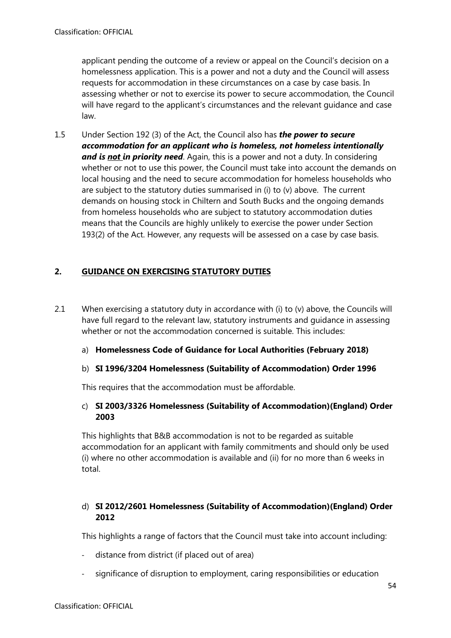applicant pending the outcome of a review or appeal on the Council's decision on a homelessness application. This is a power and not a duty and the Council will assess requests for accommodation in these circumstances on a case by case basis. In assessing whether or not to exercise its power to secure accommodation, the Council will have regard to the applicant's circumstances and the relevant guidance and case law.

1.5 Under Section 192 (3) of the Act, the Council also has *the power to secure accommodation for an applicant who is homeless, not homeless intentionally and is not in priority need*. Again, this is a power and not a duty. In considering whether or not to use this power, the Council must take into account the demands on local housing and the need to secure accommodation for homeless households who are subject to the statutory duties summarised in (i) to (v) above. The current demands on housing stock in Chiltern and South Bucks and the ongoing demands from homeless households who are subject to statutory accommodation duties means that the Councils are highly unlikely to exercise the power under Section 193(2) of the Act. However, any requests will be assessed on a case by case basis.

#### **2. GUIDANCE ON EXERCISING STATUTORY DUTIES**

- 2.1 When exercising a statutory duty in accordance with (i) to (v) above, the Councils will have full regard to the relevant law, statutory instruments and guidance in assessing whether or not the accommodation concerned is suitable. This includes:
	- a) **Homelessness Code of Guidance for Local Authorities (February 2018)**
	- b) **SI 1996/3204 Homelessness (Suitability of Accommodation) Order 1996**

This requires that the accommodation must be affordable.

#### c) **SI 2003/3326 Homelessness (Suitability of Accommodation)(England) Order 2003**

This highlights that B&B accommodation is not to be regarded as suitable accommodation for an applicant with family commitments and should only be used (i) where no other accommodation is available and (ii) for no more than 6 weeks in total.

#### d) **SI 2012/2601 Homelessness (Suitability of Accommodation)(England) Order 2012**

This highlights a range of factors that the Council must take into account including:

- distance from district (if placed out of area)
- significance of disruption to employment, caring responsibilities or education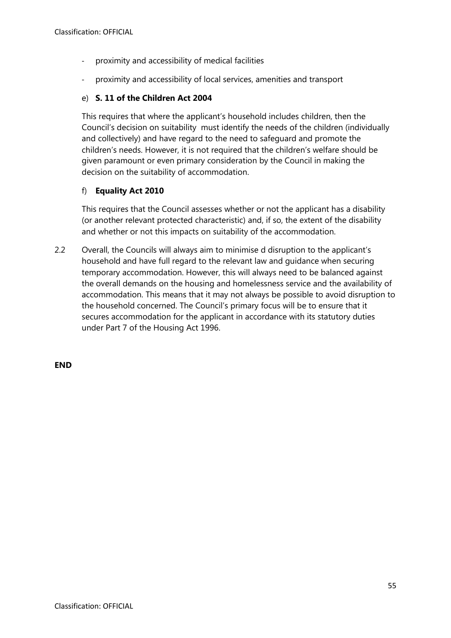- proximity and accessibility of medical facilities
- proximity and accessibility of local services, amenities and transport

#### e) **S. 11 of the Children Act 2004**

This requires that where the applicant's household includes children, then the Council's decision on suitability must identify the needs of the children (individually and collectively) and have regard to the need to safeguard and promote the children's needs. However, it is not required that the children's welfare should be given paramount or even primary consideration by the Council in making the decision on the suitability of accommodation.

#### f) **Equality Act 2010**

This requires that the Council assesses whether or not the applicant has a disability (or another relevant protected characteristic) and, if so, the extent of the disability and whether or not this impacts on suitability of the accommodation.

2.2 Overall, the Councils will always aim to minimise d disruption to the applicant's household and have full regard to the relevant law and guidance when securing temporary accommodation. However, this will always need to be balanced against the overall demands on the housing and homelessness service and the availability of accommodation. This means that it may not always be possible to avoid disruption to the household concerned. The Council's primary focus will be to ensure that it secures accommodation for the applicant in accordance with its statutory duties under Part 7 of the Housing Act 1996.

**END**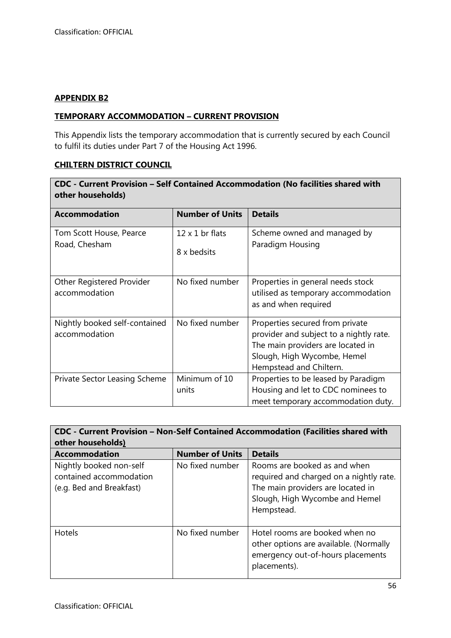#### **APPENDIX B2**

#### **TEMPORARY ACCOMMODATION – CURRENT PROVISION**

This Appendix lists the temporary accommodation that is currently secured by each Council to fulfil its duties under Part 7 of the Housing Act 1996.

#### **CHILTERN DISTRICT COUNCIL**

| CDC - Current Provision - Self Contained Accommodation (No facilities shared with<br>other households) |                                       |                                                                                                                                                                           |  |  |
|--------------------------------------------------------------------------------------------------------|---------------------------------------|---------------------------------------------------------------------------------------------------------------------------------------------------------------------------|--|--|
| <b>Accommodation</b>                                                                                   | <b>Number of Units</b>                | <b>Details</b>                                                                                                                                                            |  |  |
| Tom Scott House, Pearce<br>Road, Chesham                                                               | $12 \times 1$ br flats<br>8 x bedsits | Scheme owned and managed by<br>Paradigm Housing                                                                                                                           |  |  |
| <b>Other Registered Provider</b><br>accommodation                                                      | No fixed number                       | Properties in general needs stock<br>utilised as temporary accommodation<br>as and when required                                                                          |  |  |
| Nightly booked self-contained<br>accommodation                                                         | No fixed number                       | Properties secured from private<br>provider and subject to a nightly rate.<br>The main providers are located in<br>Slough, High Wycombe, Hemel<br>Hempstead and Chiltern. |  |  |
| <b>Private Sector Leasing Scheme</b>                                                                   | Minimum of 10<br>units                | Properties to be leased by Paradigm<br>Housing and let to CDC nominees to<br>meet temporary accommodation duty.                                                           |  |  |

| CDC - Current Provision - Non-Self Contained Accommodation (Facilities shared with<br>other households) |                        |                                                                                                                                                              |  |  |
|---------------------------------------------------------------------------------------------------------|------------------------|--------------------------------------------------------------------------------------------------------------------------------------------------------------|--|--|
| <b>Accommodation</b>                                                                                    | <b>Number of Units</b> | <b>Details</b>                                                                                                                                               |  |  |
| Nightly booked non-self<br>contained accommodation<br>(e.g. Bed and Breakfast)                          | No fixed number        | Rooms are booked as and when<br>required and charged on a nightly rate.<br>The main providers are located in<br>Slough, High Wycombe and Hemel<br>Hempstead. |  |  |
| <b>Hotels</b>                                                                                           | No fixed number        | Hotel rooms are booked when no<br>other options are available. (Normally<br>emergency out-of-hours placements<br>placements).                                |  |  |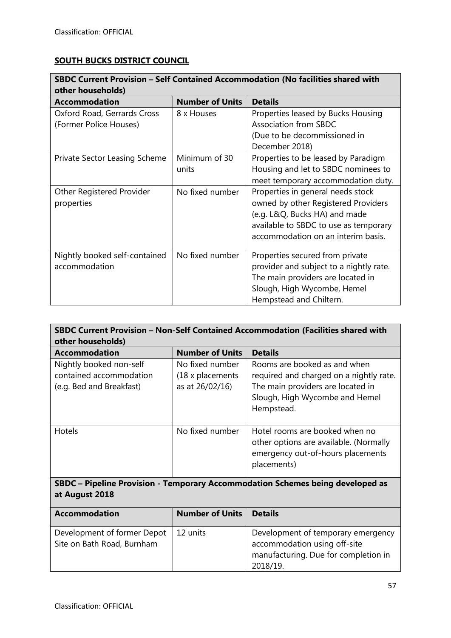#### **SOUTH BUCKS DISTRICT COUNCIL**

| SBDC Current Provision - Self Contained Accommodation (No facilities shared with |                        |                                         |  |  |
|----------------------------------------------------------------------------------|------------------------|-----------------------------------------|--|--|
| other households)                                                                |                        |                                         |  |  |
| <b>Accommodation</b>                                                             | <b>Number of Units</b> | <b>Details</b>                          |  |  |
| Oxford Road, Gerrards Cross                                                      | 8 x Houses             | Properties leased by Bucks Housing      |  |  |
| (Former Police Houses)                                                           |                        | <b>Association from SBDC</b>            |  |  |
|                                                                                  |                        | (Due to be decommissioned in            |  |  |
|                                                                                  |                        | December 2018)                          |  |  |
| Private Sector Leasing Scheme                                                    | Minimum of 30          | Properties to be leased by Paradigm     |  |  |
|                                                                                  | units                  | Housing and let to SBDC nominees to     |  |  |
|                                                                                  |                        | meet temporary accommodation duty.      |  |  |
| <b>Other Registered Provider</b>                                                 | No fixed number        | Properties in general needs stock       |  |  |
| properties                                                                       |                        | owned by other Registered Providers     |  |  |
|                                                                                  |                        | (e.g. L&Q, Bucks HA) and made           |  |  |
|                                                                                  |                        | available to SBDC to use as temporary   |  |  |
|                                                                                  |                        | accommodation on an interim basis.      |  |  |
| Nightly booked self-contained                                                    | No fixed number        | Properties secured from private         |  |  |
| accommodation                                                                    |                        | provider and subject to a nightly rate. |  |  |
|                                                                                  |                        | The main providers are located in       |  |  |
|                                                                                  |                        | Slough, High Wycombe, Hemel             |  |  |
|                                                                                  |                        | Hempstead and Chiltern.                 |  |  |

| SBDC Current Provision - Non-Self Contained Accommodation (Facilities shared with<br>other households) |                                                         |                                                                                                                                                              |  |  |
|--------------------------------------------------------------------------------------------------------|---------------------------------------------------------|--------------------------------------------------------------------------------------------------------------------------------------------------------------|--|--|
| <b>Accommodation</b>                                                                                   | <b>Number of Units</b>                                  | <b>Details</b>                                                                                                                                               |  |  |
| Nightly booked non-self<br>contained accommodation<br>(e.g. Bed and Breakfast)                         | No fixed number<br>(18 x placements)<br>as at 26/02/16) | Rooms are booked as and when<br>required and charged on a nightly rate.<br>The main providers are located in<br>Slough, High Wycombe and Hemel<br>Hempstead. |  |  |
| <b>Hotels</b>                                                                                          | No fixed number                                         | Hotel rooms are booked when no<br>other options are available. (Normally<br>emergency out-of-hours placements<br>placements)                                 |  |  |

#### **SBDC – Pipeline Provision - Temporary Accommodation Schemes being developed as at August 2018**

| <b>Accommodation</b>                                      | <b>Number of Units</b> | <b>Details</b>                                                                                                         |
|-----------------------------------------------------------|------------------------|------------------------------------------------------------------------------------------------------------------------|
| Development of former Depot<br>Site on Bath Road, Burnham | 12 units               | Development of temporary emergency<br>accommodation using off-site<br>manufacturing. Due for completion in<br>2018/19. |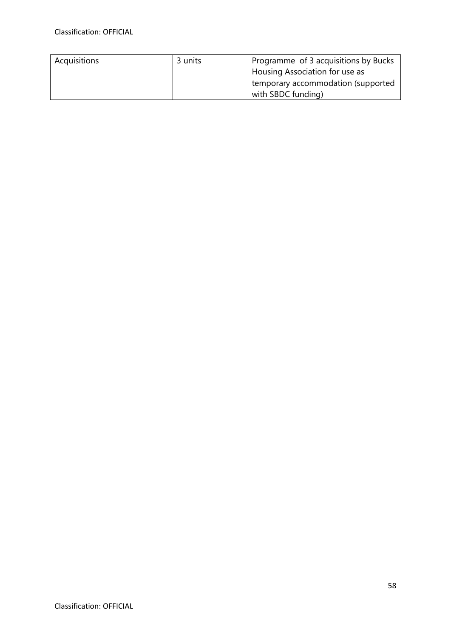| Acquisitions | 3 units | Programme of 3 acquisitions by Bucks |
|--------------|---------|--------------------------------------|
|              |         | Housing Association for use as       |
|              |         | temporary accommodation (supported   |
|              |         | with SBDC funding)                   |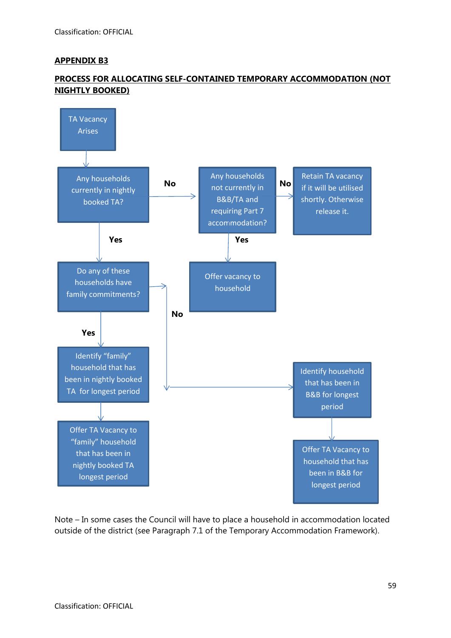#### **APPENDIX B3**



#### **PROCESS FOR ALLOCATING SELF-CONTAINED TEMPORARY ACCOMMODATION (NOT NIGHTLY BOOKED)**

Note – In some cases the Council will have to place a household in accommodation located outside of the district (see Paragraph 7.1 of the Temporary Accommodation Framework).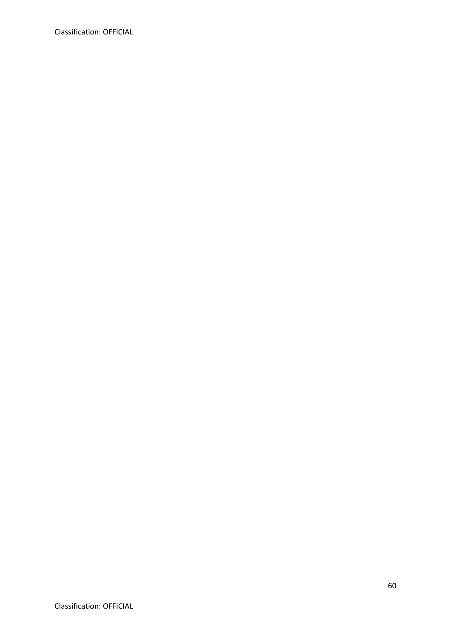Classification: OFFICIAL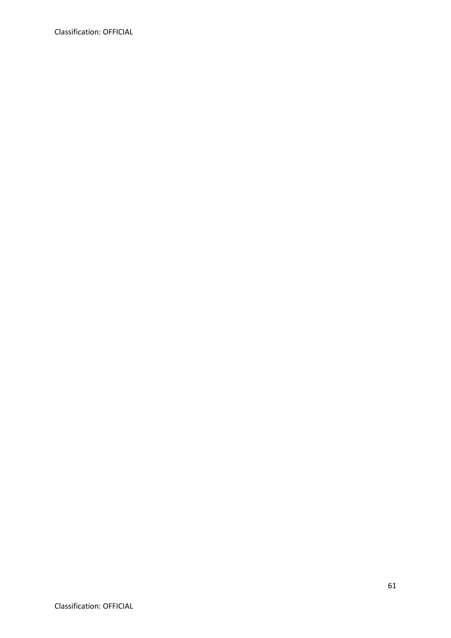Classification: OFFICIAL